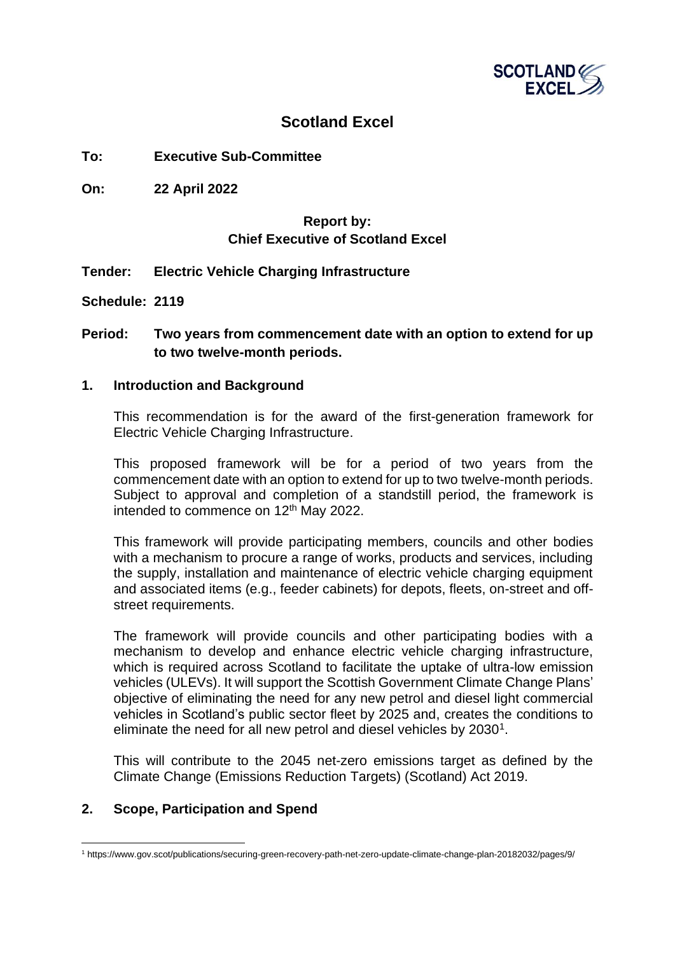

## **Scotland Excel**

**To: Executive Sub-Committee**

**On: 22 April 2022**

## **Report by: Chief Executive of Scotland Excel**

**Tender: Electric Vehicle Charging Infrastructure**

**Schedule: 2119**

## **Period: Two years from commencement date with an option to extend for up to two twelve-month periods.**

### **1. Introduction and Background**

This recommendation is for the award of the first-generation framework for Electric Vehicle Charging Infrastructure.

This proposed framework will be for a period of two years from the commencement date with an option to extend for up to two twelve-month periods. Subject to approval and completion of a standstill period, the framework is intended to commence on 12<sup>th</sup> May 2022.

This framework will provide participating members, councils and other bodies with a mechanism to procure a range of works, products and services, including the supply, installation and maintenance of electric vehicle charging equipment and associated items (e.g., feeder cabinets) for depots, fleets, on-street and offstreet requirements.

The framework will provide councils and other participating bodies with a mechanism to develop and enhance electric vehicle charging infrastructure, which is required across Scotland to facilitate the uptake of ultra-low emission vehicles (ULEVs). It will support the Scottish Government Climate Change Plans' objective of eliminating the need for any new petrol and diesel light commercial vehicles in Scotland's public sector fleet by 2025 and, creates the conditions to eliminate the need for all new petrol and diesel vehicles by  $2030^1$ .

This will contribute to the 2045 net-zero emissions target as defined by the Climate Change (Emissions Reduction Targets) (Scotland) Act 2019.

## **2. Scope, Participation and Spend**

<sup>1</sup> https://www.gov.scot/publications/securing-green-recovery-path-net-zero-update-climate-change-plan-20182032/pages/9/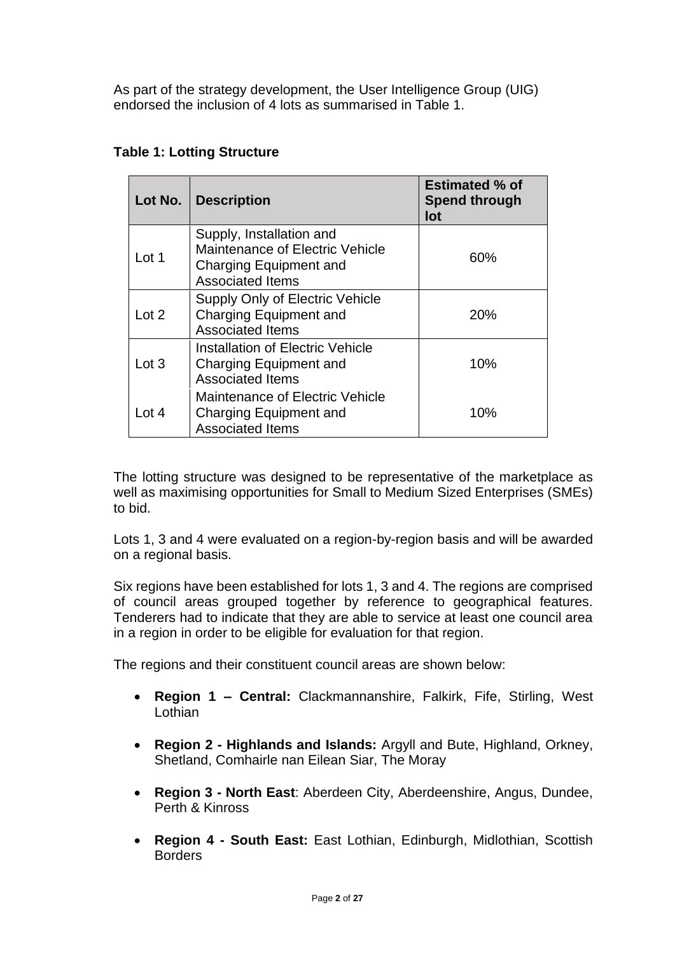As part of the strategy development, the User Intelligence Group (UIG) endorsed the inclusion of 4 lots as summarised in Table 1.

## **Table 1: Lotting Structure**

| Lot No. | <b>Description</b>                                                                                                      | <b>Estimated % of</b><br><b>Spend through</b><br>lot |
|---------|-------------------------------------------------------------------------------------------------------------------------|------------------------------------------------------|
| Lot 1   | Supply, Installation and<br>Maintenance of Electric Vehicle<br><b>Charging Equipment and</b><br><b>Associated Items</b> | 60%                                                  |
| Lot 2   | Supply Only of Electric Vehicle<br><b>Charging Equipment and</b><br><b>Associated Items</b>                             | <b>20%</b>                                           |
| Lot 3   | Installation of Electric Vehicle<br><b>Charging Equipment and</b><br><b>Associated Items</b>                            | 10%                                                  |
| Lot 4   | <b>Maintenance of Electric Vehicle</b><br><b>Charging Equipment and</b><br><b>Associated Items</b>                      | 10%                                                  |

The lotting structure was designed to be representative of the marketplace as well as maximising opportunities for Small to Medium Sized Enterprises (SMEs) to bid.

Lots 1, 3 and 4 were evaluated on a region-by-region basis and will be awarded on a regional basis.

Six regions have been established for lots 1, 3 and 4. The regions are comprised of council areas grouped together by reference to geographical features. Tenderers had to indicate that they are able to service at least one council area in a region in order to be eligible for evaluation for that region.

The regions and their constituent council areas are shown below:

- **Region 1 – Central:** Clackmannanshire, Falkirk, Fife, Stirling, West Lothian
- **Region 2 - Highlands and Islands:** Argyll and Bute, Highland, Orkney, Shetland, Comhairle nan Eilean Siar, The Moray
- **Region 3 - North East**: Aberdeen City, Aberdeenshire, Angus, Dundee, Perth & Kinross
- **Region 4 - South East:** East Lothian, Edinburgh, Midlothian, Scottish **Borders**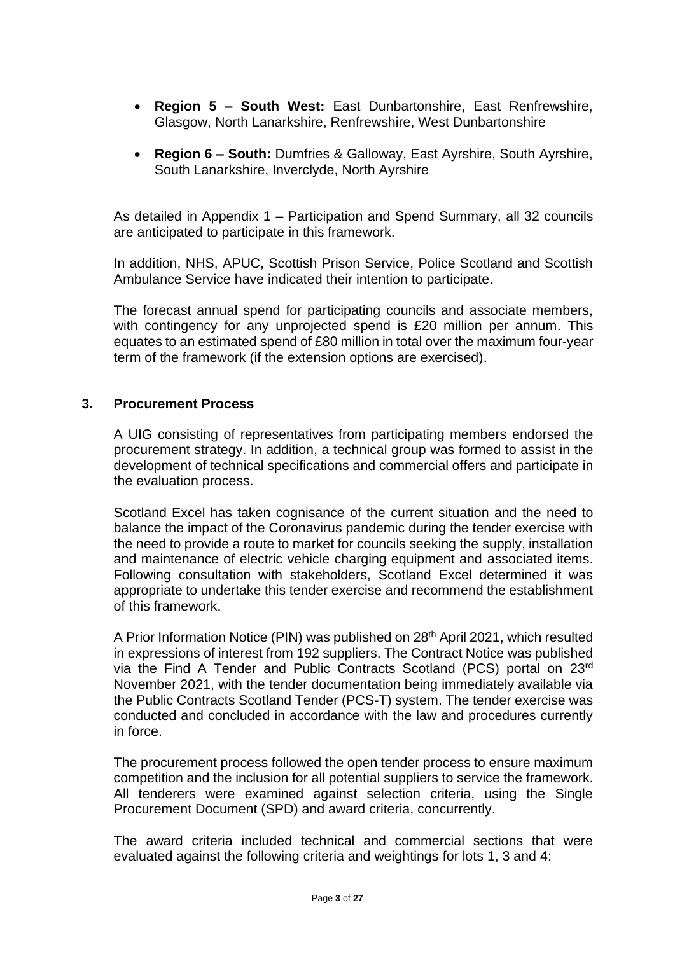- **Region 5 – South West:** East Dunbartonshire, East Renfrewshire, Glasgow, North Lanarkshire, Renfrewshire, West Dunbartonshire
- **Region 6 – South:** Dumfries & Galloway, East Ayrshire, South Ayrshire, South Lanarkshire, Inverclyde, North Ayrshire

As detailed in Appendix 1 – Participation and Spend Summary, all 32 councils are anticipated to participate in this framework.

In addition, NHS, APUC, Scottish Prison Service, Police Scotland and Scottish Ambulance Service have indicated their intention to participate.

The forecast annual spend for participating councils and associate members, with contingency for any unprojected spend is £20 million per annum. This equates to an estimated spend of £80 million in total over the maximum four-year term of the framework (if the extension options are exercised).

### **3. Procurement Process**

A UIG consisting of representatives from participating members endorsed the procurement strategy. In addition, a technical group was formed to assist in the development of technical specifications and commercial offers and participate in the evaluation process.

Scotland Excel has taken cognisance of the current situation and the need to balance the impact of the Coronavirus pandemic during the tender exercise with the need to provide a route to market for councils seeking the supply, installation and maintenance of electric vehicle charging equipment and associated items. Following consultation with stakeholders, Scotland Excel determined it was appropriate to undertake this tender exercise and recommend the establishment of this framework.

A Prior Information Notice (PIN) was published on 28<sup>th</sup> April 2021, which resulted in expressions of interest from 192 suppliers. The Contract Notice was published via the Find A Tender and Public Contracts Scotland (PCS) portal on 23rd November 2021, with the tender documentation being immediately available via the Public Contracts Scotland Tender (PCS-T) system. The tender exercise was conducted and concluded in accordance with the law and procedures currently in force.

The procurement process followed the open tender process to ensure maximum competition and the inclusion for all potential suppliers to service the framework. All tenderers were examined against selection criteria, using the Single Procurement Document (SPD) and award criteria, concurrently.

The award criteria included technical and commercial sections that were evaluated against the following criteria and weightings for lots 1, 3 and 4: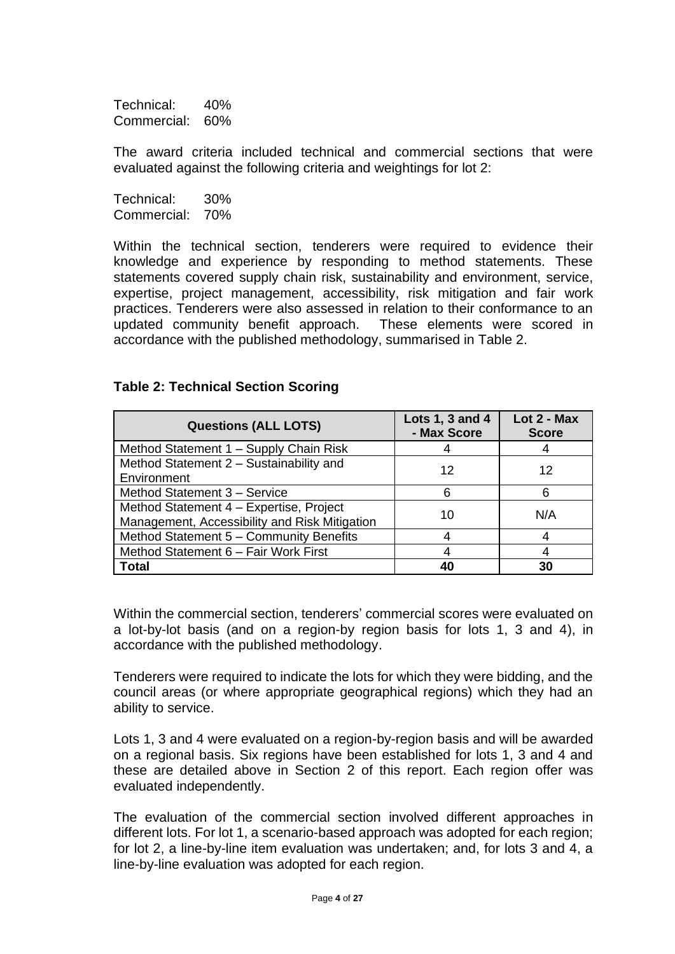Technical: 40% Commercial: 60%

The award criteria included technical and commercial sections that were evaluated against the following criteria and weightings for lot 2:

Technical: 30% Commercial: 70%

Within the technical section, tenderers were required to evidence their knowledge and experience by responding to method statements. These statements covered supply chain risk, sustainability and environment, service, expertise, project management, accessibility, risk mitigation and fair work practices. Tenderers were also assessed in relation to their conformance to an updated community benefit approach. These elements were scored in accordance with the published methodology, summarised in Table 2.

### **Table 2: Technical Section Scoring**

| <b>Questions (ALL LOTS)</b>                                                              | Lots 1, 3 and 4<br>- Max Score | Lot 2 - Max<br><b>Score</b> |
|------------------------------------------------------------------------------------------|--------------------------------|-----------------------------|
| Method Statement 1 - Supply Chain Risk                                                   |                                |                             |
| Method Statement 2 - Sustainability and<br>Environment                                   | 12                             | 12                          |
| Method Statement 3 - Service                                                             | 6                              |                             |
| Method Statement 4 - Expertise, Project<br>Management, Accessibility and Risk Mitigation | 10                             | N/A                         |
| Method Statement 5 - Community Benefits                                                  | 4                              |                             |
| Method Statement 6 - Fair Work First                                                     | 4                              |                             |
| Total                                                                                    | 40                             | 30                          |

Within the commercial section, tenderers' commercial scores were evaluated on a lot-by-lot basis (and on a region-by region basis for lots 1, 3 and 4), in accordance with the published methodology.

Tenderers were required to indicate the lots for which they were bidding, and the council areas (or where appropriate geographical regions) which they had an ability to service.

Lots 1, 3 and 4 were evaluated on a region-by-region basis and will be awarded on a regional basis. Six regions have been established for lots 1, 3 and 4 and these are detailed above in Section 2 of this report. Each region offer was evaluated independently.

The evaluation of the commercial section involved different approaches in different lots. For lot 1, a scenario-based approach was adopted for each region; for lot 2, a line-by-line item evaluation was undertaken; and, for lots 3 and 4, a line-by-line evaluation was adopted for each region.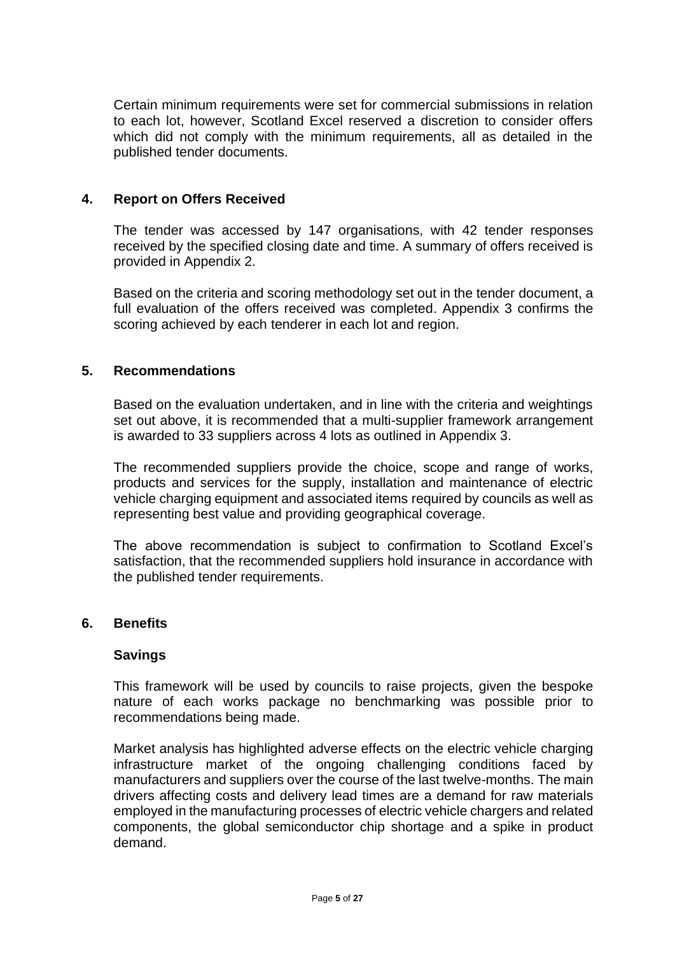Certain minimum requirements were set for commercial submissions in relation to each lot, however, Scotland Excel reserved a discretion to consider offers which did not comply with the minimum requirements, all as detailed in the published tender documents.

### **4. Report on Offers Received**

The tender was accessed by 147 organisations, with 42 tender responses received by the specified closing date and time. A summary of offers received is provided in Appendix 2.

Based on the criteria and scoring methodology set out in the tender document, a full evaluation of the offers received was completed. Appendix 3 confirms the scoring achieved by each tenderer in each lot and region.

### **5. Recommendations**

Based on the evaluation undertaken, and in line with the criteria and weightings set out above, it is recommended that a multi-supplier framework arrangement is awarded to 33 suppliers across 4 lots as outlined in Appendix 3.

The recommended suppliers provide the choice, scope and range of works, products and services for the supply, installation and maintenance of electric vehicle charging equipment and associated items required by councils as well as representing best value and providing geographical coverage.

The above recommendation is subject to confirmation to Scotland Excel's satisfaction, that the recommended suppliers hold insurance in accordance with the published tender requirements.

### **6. Benefits**

### **Savings**

This framework will be used by councils to raise projects, given the bespoke nature of each works package no benchmarking was possible prior to recommendations being made.

Market analysis has highlighted adverse effects on the electric vehicle charging infrastructure market of the ongoing challenging conditions faced by manufacturers and suppliers over the course of the last twelve-months. The main drivers affecting costs and delivery lead times are a demand for raw materials employed in the manufacturing processes of electric vehicle chargers and related components, the global semiconductor chip shortage and a spike in product demand.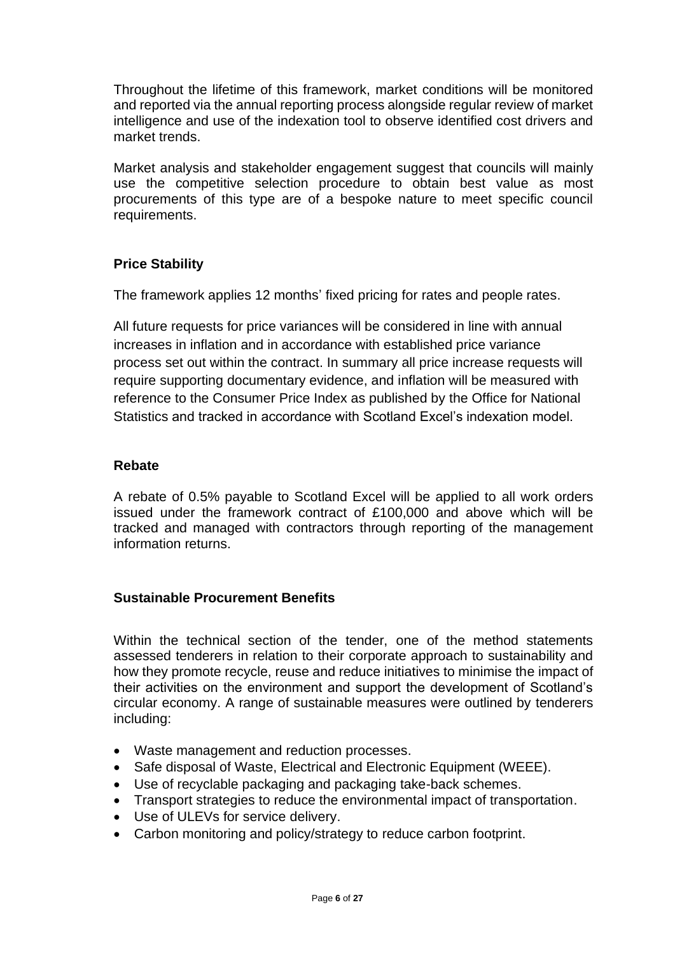Throughout the lifetime of this framework, market conditions will be monitored and reported via the annual reporting process alongside regular review of market intelligence and use of the indexation tool to observe identified cost drivers and market trends.

Market analysis and stakeholder engagement suggest that councils will mainly use the competitive selection procedure to obtain best value as most procurements of this type are of a bespoke nature to meet specific council requirements.

## **Price Stability**

The framework applies 12 months' fixed pricing for rates and people rates.

All future requests for price variances will be considered in line with annual increases in inflation and in accordance with established price variance process set out within the contract. In summary all price increase requests will require supporting documentary evidence, and inflation will be measured with reference to the Consumer Price Index as published by the Office for National Statistics and tracked in accordance with Scotland Excel's indexation model.

## **Rebate**

A rebate of 0.5% payable to Scotland Excel will be applied to all work orders issued under the framework contract of £100,000 and above which will be tracked and managed with contractors through reporting of the management information returns.

### **Sustainable Procurement Benefits**

Within the technical section of the tender, one of the method statements assessed tenderers in relation to their corporate approach to sustainability and how they promote recycle, reuse and reduce initiatives to minimise the impact of their activities on the environment and support the development of Scotland's circular economy. A range of sustainable measures were outlined by tenderers including:

- Waste management and reduction processes.
- Safe disposal of Waste, Electrical and Electronic Equipment (WEEE).
- Use of recyclable packaging and packaging take-back schemes.
- Transport strategies to reduce the environmental impact of transportation.
- Use of ULEVs for service delivery.
- Carbon monitoring and policy/strategy to reduce carbon footprint.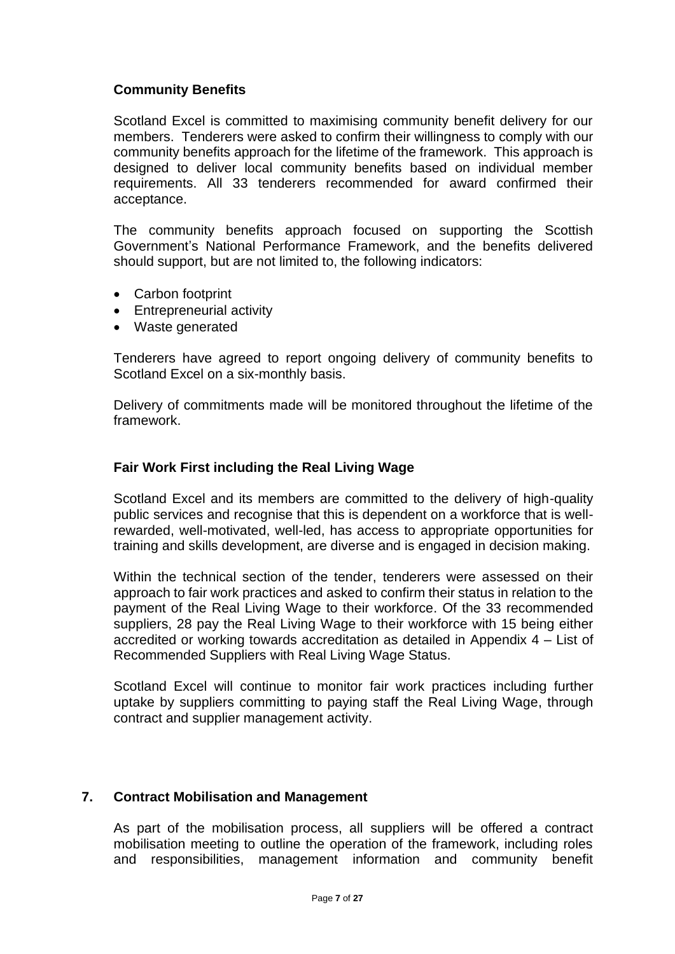## **Community Benefits**

Scotland Excel is committed to maximising community benefit delivery for our members. Tenderers were asked to confirm their willingness to comply with our community benefits approach for the lifetime of the framework. This approach is designed to deliver local community benefits based on individual member requirements. All 33 tenderers recommended for award confirmed their acceptance.

The community benefits approach focused on supporting the Scottish Government's National Performance Framework, and the benefits delivered should support, but are not limited to, the following indicators:

- Carbon footprint
- Entrepreneurial activity
- Waste generated

Tenderers have agreed to report ongoing delivery of community benefits to Scotland Excel on a six-monthly basis.

Delivery of commitments made will be monitored throughout the lifetime of the framework.

### **Fair Work First including the Real Living Wage**

Scotland Excel and its members are committed to the delivery of high-quality public services and recognise that this is dependent on a workforce that is wellrewarded, well-motivated, well-led, has access to appropriate opportunities for training and skills development, are diverse and is engaged in decision making.

Within the technical section of the tender, tenderers were assessed on their approach to fair work practices and asked to confirm their status in relation to the payment of the Real Living Wage to their workforce. Of the 33 recommended suppliers, 28 pay the Real Living Wage to their workforce with 15 being either accredited or working towards accreditation as detailed in Appendix 4 – List of Recommended Suppliers with Real Living Wage Status.

Scotland Excel will continue to monitor fair work practices including further uptake by suppliers committing to paying staff the Real Living Wage, through contract and supplier management activity.

### **7. Contract Mobilisation and Management**

As part of the mobilisation process, all suppliers will be offered a contract mobilisation meeting to outline the operation of the framework, including roles and responsibilities, management information and community benefit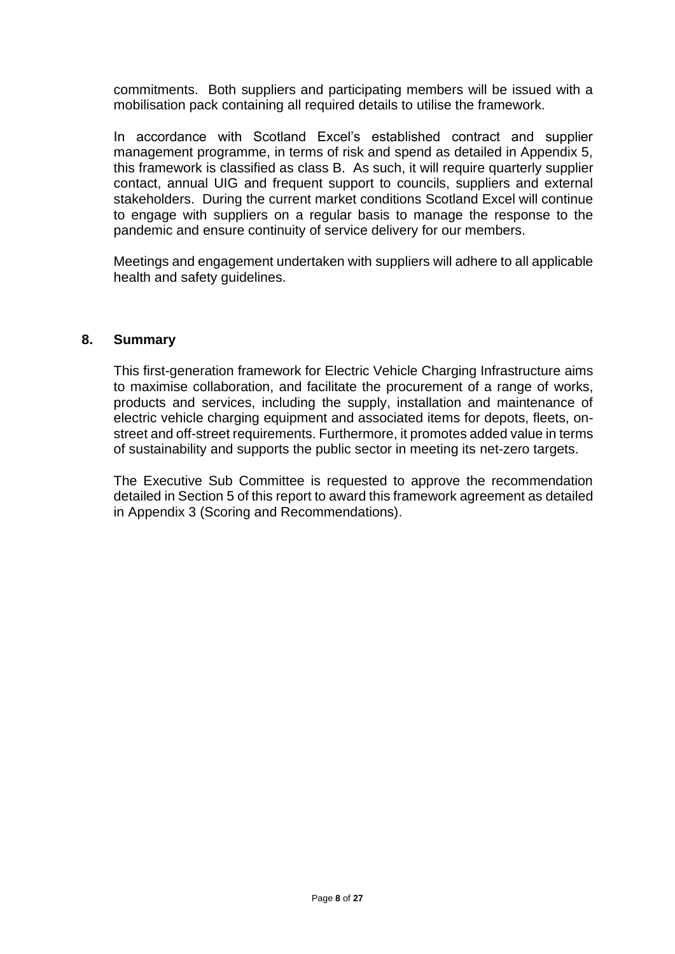commitments. Both suppliers and participating members will be issued with a mobilisation pack containing all required details to utilise the framework.

In accordance with Scotland Excel's established contract and supplier management programme, in terms of risk and spend as detailed in Appendix 5, this framework is classified as class B. As such, it will require quarterly supplier contact, annual UIG and frequent support to councils, suppliers and external stakeholders. During the current market conditions Scotland Excel will continue to engage with suppliers on a regular basis to manage the response to the pandemic and ensure continuity of service delivery for our members.

Meetings and engagement undertaken with suppliers will adhere to all applicable health and safety guidelines.

### **8. Summary**

This first-generation framework for Electric Vehicle Charging Infrastructure aims to maximise collaboration, and facilitate the procurement of a range of works, products and services, including the supply, installation and maintenance of electric vehicle charging equipment and associated items for depots, fleets, onstreet and off-street requirements. Furthermore, it promotes added value in terms of sustainability and supports the public sector in meeting its net-zero targets.

The Executive Sub Committee is requested to approve the recommendation detailed in Section 5 of this report to award this framework agreement as detailed in Appendix 3 (Scoring and Recommendations).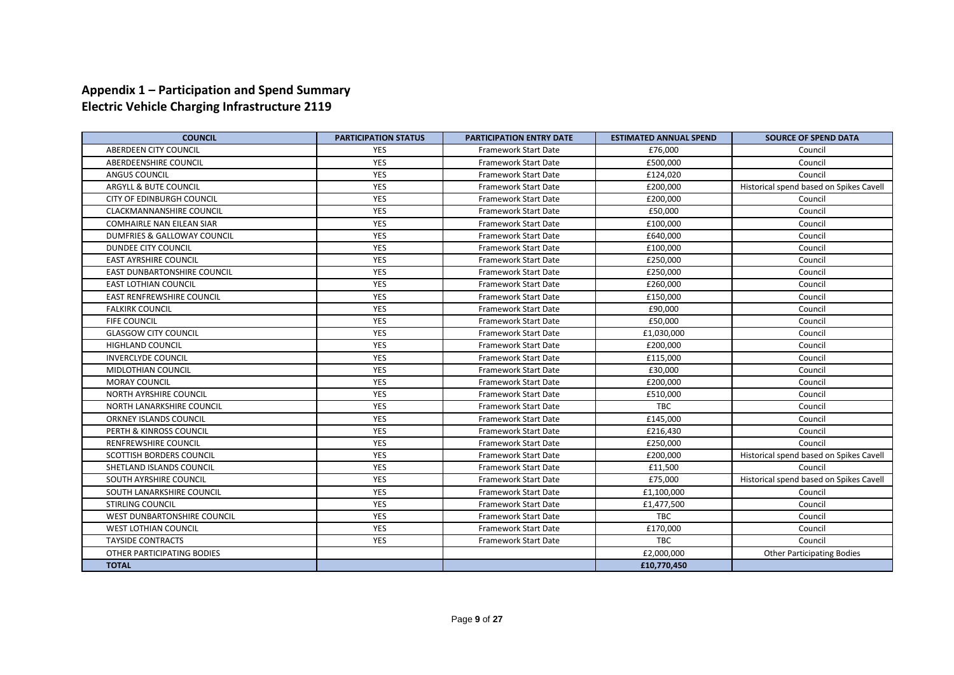## **Appendix 1 – Participation and Spend Summary Electric Vehicle Charging Infrastructure 2119**

| <b>COUNCIL</b>                     | <b>PARTICIPATION STATUS</b> | <b>PARTICIPATION ENTRY DATE</b> | <b>ESTIMATED ANNUAL SPEND</b> | <b>SOURCE OF SPEND DATA</b>             |
|------------------------------------|-----------------------------|---------------------------------|-------------------------------|-----------------------------------------|
| ABERDEEN CITY COUNCIL              | <b>YES</b>                  | <b>Framework Start Date</b>     | £76.000                       | Council                                 |
| ABERDEENSHIRE COUNCIL              | YES                         | Framework Start Date            | £500,000                      | Council                                 |
| <b>ANGUS COUNCIL</b>               | <b>YES</b>                  | <b>Framework Start Date</b>     | £124.020                      | Council                                 |
| ARGYLL & BUTE COUNCIL              | <b>YES</b>                  | <b>Framework Start Date</b>     | £200.000                      | Historical spend based on Spikes Cavell |
| <b>CITY OF EDINBURGH COUNCIL</b>   | <b>YES</b>                  | <b>Framework Start Date</b>     | £200.000                      | Council                                 |
| <b>CLACKMANNANSHIRE COUNCIL</b>    | <b>YES</b>                  | <b>Framework Start Date</b>     | £50.000                       | Council                                 |
| <b>COMHAIRLE NAN EILEAN SIAR</b>   | <b>YES</b>                  | <b>Framework Start Date</b>     | £100,000                      | Council                                 |
| DUMFRIES & GALLOWAY COUNCIL        | <b>YES</b>                  | Framework Start Date            | £640,000                      | Council                                 |
| DUNDEE CITY COUNCIL                | <b>YES</b>                  | <b>Framework Start Date</b>     | £100,000                      | Council                                 |
| <b>EAST AYRSHIRE COUNCIL</b>       | <b>YES</b>                  | <b>Framework Start Date</b>     | £250,000                      | Council                                 |
| EAST DUNBARTONSHIRE COUNCIL        | <b>YES</b>                  | Framework Start Date            | £250,000                      | Council                                 |
| <b>EAST LOTHIAN COUNCIL</b>        | <b>YES</b>                  | <b>Framework Start Date</b>     | £260.000                      | Council                                 |
| <b>EAST RENFREWSHIRE COUNCIL</b>   | <b>YES</b>                  | <b>Framework Start Date</b>     | £150.000                      | Council                                 |
| <b>FALKIRK COUNCIL</b>             | YES                         | <b>Framework Start Date</b>     | £90,000                       | Council                                 |
| <b>FIFE COUNCIL</b>                | <b>YES</b>                  | <b>Framework Start Date</b>     | £50.000                       | Council                                 |
| <b>GLASGOW CITY COUNCIL</b>        | YES                         | Framework Start Date            | £1,030,000                    | Council                                 |
| <b>HIGHLAND COUNCIL</b>            | <b>YES</b>                  | <b>Framework Start Date</b>     | £200.000                      | Council                                 |
| <b>INVERCLYDE COUNCIL</b>          | <b>YES</b>                  | <b>Framework Start Date</b>     | £115,000                      | Council                                 |
| <b>MIDLOTHIAN COUNCIL</b>          | <b>YES</b>                  | <b>Framework Start Date</b>     | £30,000                       | Council                                 |
| <b>MORAY COUNCIL</b>               | YES                         | Framework Start Date            | £200,000                      | Council                                 |
| <b>NORTH AYRSHIRE COUNCIL</b>      | <b>YES</b>                  | <b>Framework Start Date</b>     | £510,000                      | Council                                 |
| NORTH LANARKSHIRE COUNCIL          | <b>YES</b>                  | <b>Framework Start Date</b>     | <b>TBC</b>                    | Council                                 |
| <b>ORKNEY ISLANDS COUNCIL</b>      | <b>YES</b>                  | <b>Framework Start Date</b>     | £145,000                      | Council                                 |
| <b>PERTH &amp; KINROSS COUNCIL</b> | <b>YES</b>                  | <b>Framework Start Date</b>     | £216,430                      | Council                                 |
| <b>RENFREWSHIRE COUNCIL</b>        | <b>YES</b>                  | <b>Framework Start Date</b>     | £250.000                      | Council                                 |
| <b>SCOTTISH BORDERS COUNCIL</b>    | <b>YES</b>                  | <b>Framework Start Date</b>     | £200,000                      | Historical spend based on Spikes Cavell |
| SHETLAND ISLANDS COUNCIL           | <b>YES</b>                  | <b>Framework Start Date</b>     | £11,500                       | Council                                 |
| SOUTH AYRSHIRE COUNCIL             | <b>YES</b>                  | <b>Framework Start Date</b>     | £75.000                       | Historical spend based on Spikes Cavell |
| SOUTH LANARKSHIRE COUNCIL          | <b>YES</b>                  | Framework Start Date            | £1,100,000                    | Council                                 |
| <b>STIRLING COUNCIL</b>            | <b>YES</b>                  | <b>Framework Start Date</b>     | £1,477,500                    | Council                                 |
| WEST DUNBARTONSHIRE COUNCIL        | <b>YES</b>                  | Framework Start Date            | <b>TBC</b>                    | Council                                 |
| <b>WEST LOTHIAN COUNCIL</b>        | <b>YES</b>                  | Framework Start Date            | £170,000                      | Council                                 |
| <b>TAYSIDE CONTRACTS</b>           | YES                         | Framework Start Date            | <b>TBC</b>                    | Council                                 |
| OTHER PARTICIPATING BODIES         |                             |                                 | £2,000,000                    | <b>Other Participating Bodies</b>       |
| <b>TOTAL</b>                       |                             |                                 | £10.770.450                   |                                         |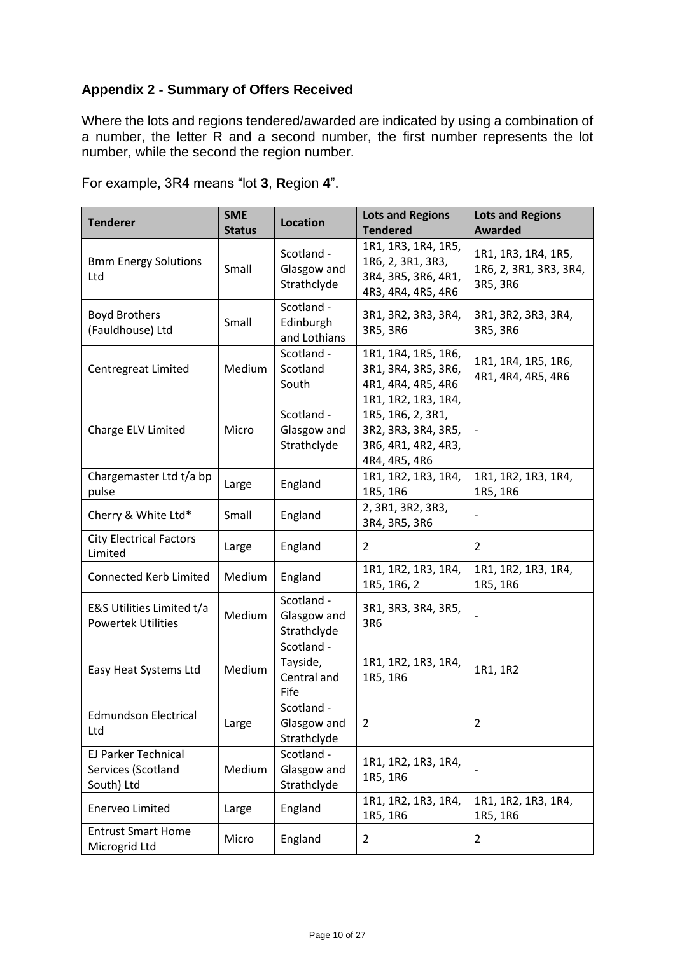## **Appendix 2 - Summary of Offers Received**

Where the lots and regions tendered/awarded are indicated by using a combination of a number, the letter R and a second number, the first number represents the lot number, while the second the region number.

| <b>Tenderer</b>                                                | <b>SME</b><br><b>Status</b> | <b>Location</b>                               | <b>Lots and Regions</b><br><b>Tendered</b>                                                              | <b>Lots and Regions</b><br><b>Awarded</b>                 |
|----------------------------------------------------------------|-----------------------------|-----------------------------------------------|---------------------------------------------------------------------------------------------------------|-----------------------------------------------------------|
| <b>Bmm Energy Solutions</b><br>Ltd                             | Small                       | Scotland -<br>Glasgow and<br>Strathclyde      | 1R1, 1R3, 1R4, 1R5,<br>1R6, 2, 3R1, 3R3,<br>3R4, 3R5, 3R6, 4R1,<br>4R3, 4R4, 4R5, 4R6                   | 1R1, 1R3, 1R4, 1R5,<br>1R6, 2, 3R1, 3R3, 3R4,<br>3R5, 3R6 |
| <b>Boyd Brothers</b><br>(Fauldhouse) Ltd                       | Small                       | Scotland -<br>Edinburgh<br>and Lothians       | 3R1, 3R2, 3R3, 3R4,<br>3R5, 3R6                                                                         | 3R1, 3R2, 3R3, 3R4,<br>3R5, 3R6                           |
| Centregreat Limited                                            | Medium                      | Scotland -<br>Scotland<br>South               | 1R1, 1R4, 1R5, 1R6,<br>3R1, 3R4, 3R5, 3R6,<br>4R1, 4R4, 4R5, 4R6                                        | 1R1, 1R4, 1R5, 1R6,<br>4R1, 4R4, 4R5, 4R6                 |
| Charge ELV Limited                                             | Micro                       | Scotland -<br>Glasgow and<br>Strathclyde      | 1R1, 1R2, 1R3, 1R4,<br>1R5, 1R6, 2, 3R1,<br>3R2, 3R3, 3R4, 3R5,<br>3R6, 4R1, 4R2, 4R3,<br>4R4, 4R5, 4R6 | $\overline{\phantom{a}}$                                  |
| Chargemaster Ltd t/a bp<br>pulse                               | Large                       | England                                       | 1R1, 1R2, 1R3, 1R4,<br>1R5, 1R6                                                                         | 1R1, 1R2, 1R3, 1R4,<br>1R5, 1R6                           |
| Cherry & White Ltd*                                            | Small                       | England                                       | 2, 3R1, 3R2, 3R3,<br>3R4, 3R5, 3R6                                                                      |                                                           |
| <b>City Electrical Factors</b><br>Limited                      | Large                       | England                                       | $\overline{2}$                                                                                          | $\overline{2}$                                            |
| <b>Connected Kerb Limited</b>                                  | Medium                      | England                                       | 1R1, 1R2, 1R3, 1R4,<br>1R5, 1R6, 2                                                                      | 1R1, 1R2, 1R3, 1R4,<br>1R5, 1R6                           |
| E&S Utilities Limited t/a<br><b>Powertek Utilities</b>         | Medium                      | Scotland -<br>Glasgow and<br>Strathclyde      | 3R1, 3R3, 3R4, 3R5,<br>3R6                                                                              |                                                           |
| Easy Heat Systems Ltd                                          | Medium                      | Scotland -<br>Tayside,<br>Central and<br>Fife | 1R1, 1R2, 1R3, 1R4,<br>1R5, 1R6                                                                         | 1R1, 1R2                                                  |
| <b>Edmundson Electrical</b><br>Ltd                             | Large                       | Scotland -<br>Glasgow and<br>Strathclyde      | 2                                                                                                       | 2                                                         |
| <b>EJ Parker Technical</b><br>Services (Scotland<br>South) Ltd | Medium                      | Scotland -<br>Glasgow and<br>Strathclyde      | 1R1, 1R2, 1R3, 1R4,<br>1R5, 1R6                                                                         |                                                           |
| <b>Enerveo Limited</b>                                         | Large                       | England                                       | 1R1, 1R2, 1R3, 1R4,<br>1R5, 1R6                                                                         | 1R1, 1R2, 1R3, 1R4,<br>1R5, 1R6                           |
| <b>Entrust Smart Home</b><br>Microgrid Ltd                     | Micro                       | England                                       | $\overline{2}$                                                                                          | $\overline{2}$                                            |

For example, 3R4 means "lot **3**, **R**egion **4**".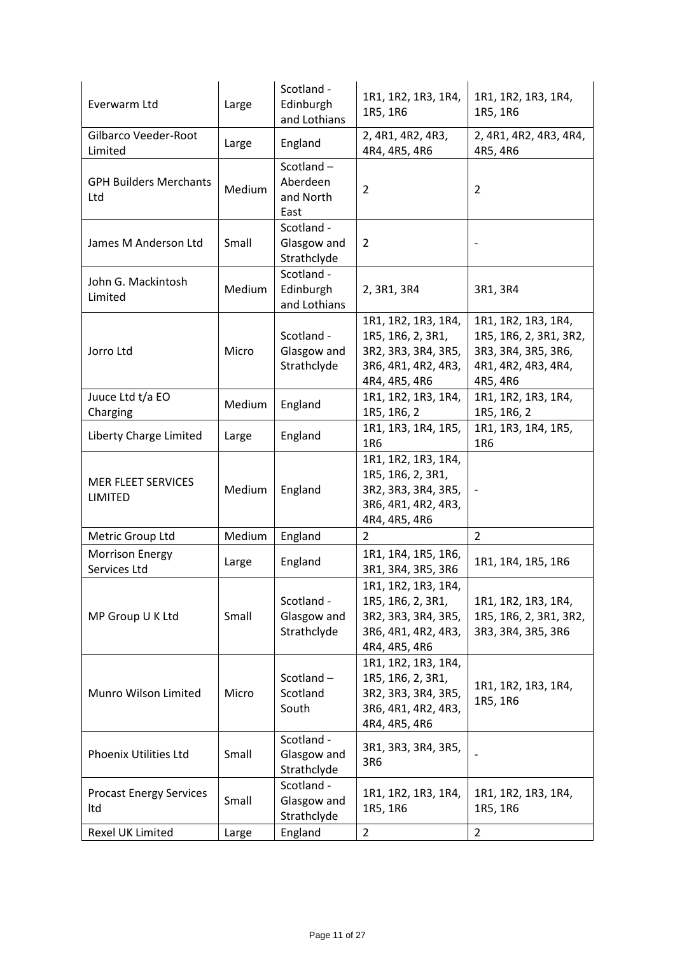| Everwarm Ltd                           | Large  | Scotland -<br>Edinburgh<br>and Lothians    | 1R1, 1R2, 1R3, 1R4,<br>1R5, 1R6                                                                         | 1R1, 1R2, 1R3, 1R4,<br>1R5, 1R6                                                                         |
|----------------------------------------|--------|--------------------------------------------|---------------------------------------------------------------------------------------------------------|---------------------------------------------------------------------------------------------------------|
| Gilbarco Veeder-Root<br>Limited        | Large  | England                                    | 2, 4R1, 4R2, 4R3,<br>4R4, 4R5, 4R6                                                                      | 2, 4R1, 4R2, 4R3, 4R4,<br>4R5, 4R6                                                                      |
| <b>GPH Builders Merchants</b><br>Ltd   | Medium | Scotland-<br>Aberdeen<br>and North<br>East | $\overline{2}$                                                                                          | $\overline{2}$                                                                                          |
| James M Anderson Ltd                   | Small  | Scotland -<br>Glasgow and<br>Strathclyde   | $\overline{2}$                                                                                          |                                                                                                         |
| John G. Mackintosh<br>Limited          | Medium | Scotland -<br>Edinburgh<br>and Lothians    | 2, 3R1, 3R4                                                                                             | 3R1, 3R4                                                                                                |
| Jorro Ltd                              | Micro  | Scotland -<br>Glasgow and<br>Strathclyde   | 1R1, 1R2, 1R3, 1R4,<br>1R5, 1R6, 2, 3R1,<br>3R2, 3R3, 3R4, 3R5,<br>3R6, 4R1, 4R2, 4R3,<br>4R4, 4R5, 4R6 | 1R1, 1R2, 1R3, 1R4,<br>1R5, 1R6, 2, 3R1, 3R2,<br>3R3, 3R4, 3R5, 3R6,<br>4R1, 4R2, 4R3, 4R4,<br>4R5, 4R6 |
| Juuce Ltd t/a EO<br>Charging           | Medium | England                                    | 1R1, 1R2, 1R3, 1R4,<br>1R5, 1R6, 2                                                                      | 1R1, 1R2, 1R3, 1R4,<br>1R5, 1R6, 2                                                                      |
| Liberty Charge Limited                 | Large  | England                                    | 1R1, 1R3, 1R4, 1R5,<br>1R6                                                                              | 1R1, 1R3, 1R4, 1R5,<br>1R6                                                                              |
| MER FLEET SERVICES<br><b>LIMITED</b>   | Medium | England                                    | 1R1, 1R2, 1R3, 1R4,<br>1R5, 1R6, 2, 3R1,<br>3R2, 3R3, 3R4, 3R5,<br>3R6, 4R1, 4R2, 4R3,<br>4R4, 4R5, 4R6 |                                                                                                         |
| Metric Group Ltd                       | Medium | England                                    | 2                                                                                                       | $\overline{2}$                                                                                          |
| <b>Morrison Energy</b><br>Services Ltd | Large  | England                                    | 1R1, 1R4, 1R5, 1R6,<br>3R1, 3R4, 3R5, 3R6                                                               | 1R1, 1R4, 1R5, 1R6                                                                                      |
| MP Group U K Ltd                       | Small  | Scotland -<br>Glasgow and<br>Strathclyde   | 1R1, 1R2, 1R3, 1R4,<br>1R5, 1R6, 2, 3R1,<br>3R2, 3R3, 3R4, 3R5,<br>3R6, 4R1, 4R2, 4R3,<br>4R4, 4R5, 4R6 | 1R1, 1R2, 1R3, 1R4,<br>1R5, 1R6, 2, 3R1, 3R2,<br>3R3, 3R4, 3R5, 3R6                                     |
| Munro Wilson Limited                   | Micro  | Scotland-<br>Scotland<br>South             | 1R1, 1R2, 1R3, 1R4,<br>1R5, 1R6, 2, 3R1,<br>3R2, 3R3, 3R4, 3R5,<br>3R6, 4R1, 4R2, 4R3,<br>4R4, 4R5, 4R6 | 1R1, 1R2, 1R3, 1R4,<br>1R5, 1R6                                                                         |
| <b>Phoenix Utilities Ltd</b>           | Small  | Scotland -<br>Glasgow and<br>Strathclyde   | 3R1, 3R3, 3R4, 3R5,<br>3R6                                                                              |                                                                                                         |
| <b>Procast Energy Services</b><br>Itd  | Small  | Scotland -<br>Glasgow and<br>Strathclyde   | 1R1, 1R2, 1R3, 1R4,<br>1R5, 1R6                                                                         | 1R1, 1R2, 1R3, 1R4,<br>1R5, 1R6                                                                         |
| Rexel UK Limited                       | Large  | England                                    | $\overline{2}$                                                                                          | $\overline{2}$                                                                                          |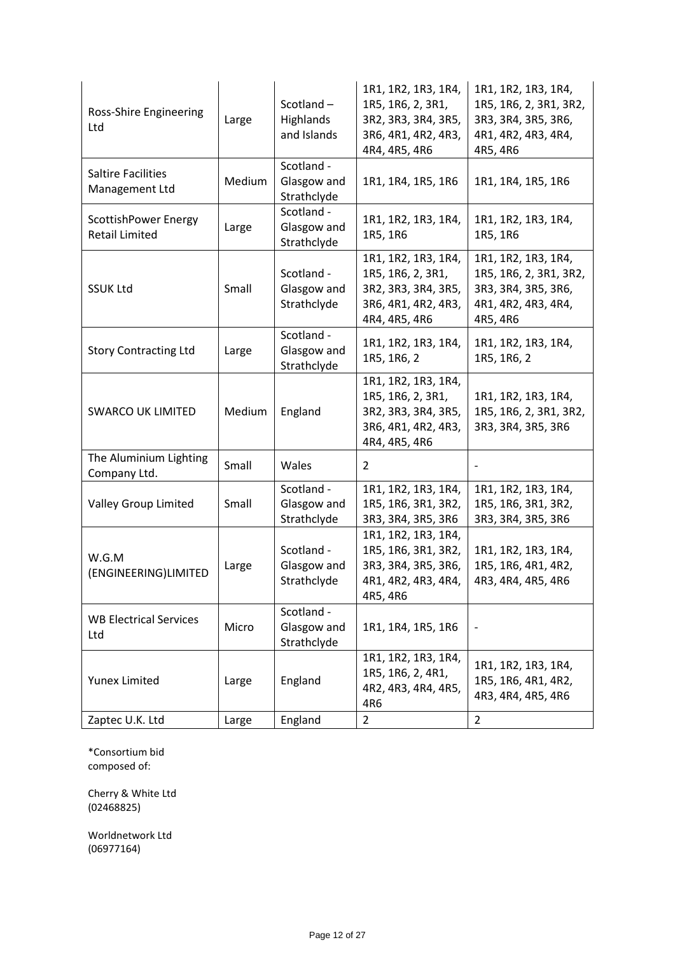| Ross-Shire Engineering<br>Ltd                 | Large  | Scotland-<br>Highlands<br>and Islands    | 1R1, 1R2, 1R3, 1R4,<br>1R5, 1R6, 2, 3R1,<br>3R2, 3R3, 3R4, 3R5,<br>3R6, 4R1, 4R2, 4R3,<br>4R4, 4R5, 4R6 | 1R1, 1R2, 1R3, 1R4,<br>1R5, 1R6, 2, 3R1, 3R2,<br>3R3, 3R4, 3R5, 3R6,<br>4R1, 4R2, 4R3, 4R4,<br>4R5, 4R6 |
|-----------------------------------------------|--------|------------------------------------------|---------------------------------------------------------------------------------------------------------|---------------------------------------------------------------------------------------------------------|
| <b>Saltire Facilities</b><br>Management Ltd   | Medium | Scotland -<br>Glasgow and<br>Strathclyde | 1R1, 1R4, 1R5, 1R6                                                                                      | 1R1, 1R4, 1R5, 1R6                                                                                      |
| ScottishPower Energy<br><b>Retail Limited</b> | Large  | Scotland -<br>Glasgow and<br>Strathclyde | 1R1, 1R2, 1R3, 1R4,<br>1R5, 1R6                                                                         | 1R1, 1R2, 1R3, 1R4,<br>1R5, 1R6                                                                         |
| <b>SSUK Ltd</b>                               | Small  | Scotland -<br>Glasgow and<br>Strathclyde | 1R1, 1R2, 1R3, 1R4,<br>1R5, 1R6, 2, 3R1,<br>3R2, 3R3, 3R4, 3R5,<br>3R6, 4R1, 4R2, 4R3,<br>4R4, 4R5, 4R6 | 1R1, 1R2, 1R3, 1R4,<br>1R5, 1R6, 2, 3R1, 3R2,<br>3R3, 3R4, 3R5, 3R6,<br>4R1, 4R2, 4R3, 4R4,<br>4R5, 4R6 |
| <b>Story Contracting Ltd</b>                  | Large  | Scotland -<br>Glasgow and<br>Strathclyde | 1R1, 1R2, 1R3, 1R4,<br>1R5, 1R6, 2                                                                      | 1R1, 1R2, 1R3, 1R4,<br>1R5, 1R6, 2                                                                      |
| <b>SWARCO UK LIMITED</b>                      | Medium | England                                  | 1R1, 1R2, 1R3, 1R4,<br>1R5, 1R6, 2, 3R1,<br>3R2, 3R3, 3R4, 3R5,<br>3R6, 4R1, 4R2, 4R3,<br>4R4, 4R5, 4R6 | 1R1, 1R2, 1R3, 1R4,<br>1R5, 1R6, 2, 3R1, 3R2,<br>3R3, 3R4, 3R5, 3R6                                     |
| The Aluminium Lighting<br>Company Ltd.        | Small  | Wales                                    | $\overline{2}$                                                                                          |                                                                                                         |
| Valley Group Limited                          | Small  | Scotland -<br>Glasgow and<br>Strathclyde | 1R1, 1R2, 1R3, 1R4,<br>1R5, 1R6, 3R1, 3R2,<br>3R3, 3R4, 3R5, 3R6                                        | 1R1, 1R2, 1R3, 1R4,<br>1R5, 1R6, 3R1, 3R2,<br>3R3, 3R4, 3R5, 3R6                                        |
| W.G.M<br>(ENGINEERING)LIMITED                 | Large  | Scotland -<br>Glasgow and<br>Strathclyde | 1R1, 1R2, 1R3, 1R4,<br>1R5, 1R6, 3R1, 3R2,<br>3R3, 3R4, 3R5, 3R6,<br>4R1, 4R2, 4R3, 4R4,<br>4R5, 4R6    | 1R1, 1R2, 1R3, 1R4,<br>1R5, 1R6, 4R1, 4R2,<br>4R3, 4R4, 4R5, 4R6                                        |
| <b>WB Electrical Services</b><br>Ltd          | Micro  | Scotland -<br>Glasgow and<br>Strathclyde | 1R1, 1R4, 1R5, 1R6                                                                                      |                                                                                                         |
| <b>Yunex Limited</b>                          | Large  | England                                  | 1R1, 1R2, 1R3, 1R4,<br>1R5, 1R6, 2, 4R1,<br>4R2, 4R3, 4R4, 4R5,<br>4R6                                  | 1R1, 1R2, 1R3, 1R4,<br>1R5, 1R6, 4R1, 4R2,<br>4R3, 4R4, 4R5, 4R6                                        |
| Zaptec U.K. Ltd                               | Large  | England                                  | $\overline{2}$                                                                                          | $\overline{2}$                                                                                          |

Cherry & White Ltd (02468825)

Worldnetwork Ltd (06977164)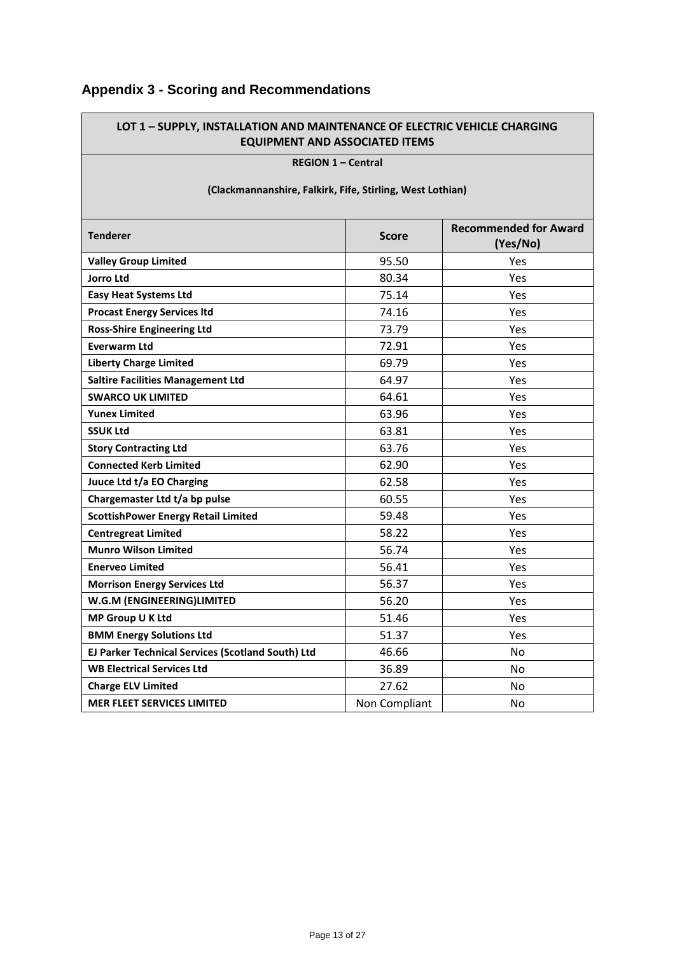## **Appendix 3 - Scoring and Recommendations**

### **LOT 1 – SUPPLY, INSTALLATION AND MAINTENANCE OF ELECTRIC VEHICLE CHARGING EQUIPMENT AND ASSOCIATED ITEMS**

| <b>REGION 1 - Central</b><br>(Clackmannanshire, Falkirk, Fife, Stirling, West Lothian) |               |                                          |  |
|----------------------------------------------------------------------------------------|---------------|------------------------------------------|--|
| <b>Tenderer</b>                                                                        | <b>Score</b>  | <b>Recommended for Award</b><br>(Yes/No) |  |
| <b>Valley Group Limited</b>                                                            | 95.50         | Yes                                      |  |
| <b>Jorro Ltd</b>                                                                       | 80.34         | Yes                                      |  |
| <b>Easy Heat Systems Ltd</b>                                                           | 75.14         | Yes                                      |  |
| <b>Procast Energy Services Itd</b>                                                     | 74.16         | Yes                                      |  |
| <b>Ross-Shire Engineering Ltd</b>                                                      | 73.79         | Yes                                      |  |
| <b>Everwarm Ltd</b>                                                                    | 72.91         | Yes                                      |  |
| <b>Liberty Charge Limited</b>                                                          | 69.79         | Yes                                      |  |
| <b>Saltire Facilities Management Ltd</b>                                               | 64.97         | Yes                                      |  |
| <b>SWARCO UK LIMITED</b>                                                               | 64.61         | Yes                                      |  |
| Yunex Limited                                                                          | 63.96         | Yes                                      |  |
| <b>SSUK Ltd</b>                                                                        | 63.81         | Yes                                      |  |
| <b>Story Contracting Ltd</b>                                                           | 63.76         | Yes                                      |  |
| <b>Connected Kerb Limited</b>                                                          | 62.90         | Yes                                      |  |
| Juuce Ltd t/a EO Charging                                                              | 62.58         | Yes                                      |  |
| Chargemaster Ltd t/a bp pulse                                                          | 60.55         | Yes                                      |  |
| <b>ScottishPower Energy Retail Limited</b>                                             | 59.48         | Yes                                      |  |
| <b>Centregreat Limited</b>                                                             | 58.22         | Yes                                      |  |
| <b>Munro Wilson Limited</b>                                                            | 56.74         | Yes                                      |  |
| <b>Enerveo Limited</b>                                                                 | 56.41         | Yes                                      |  |
| <b>Morrison Energy Services Ltd</b>                                                    | 56.37         | Yes                                      |  |
| W.G.M (ENGINEERING)LIMITED                                                             | 56.20         | Yes                                      |  |
| MP Group U K Ltd                                                                       | 51.46         | Yes                                      |  |
| <b>BMM Energy Solutions Ltd</b>                                                        | 51.37         | Yes                                      |  |
| EJ Parker Technical Services (Scotland South) Ltd                                      | 46.66         | No                                       |  |
| <b>WB Electrical Services Ltd</b>                                                      | 36.89         | No                                       |  |
| <b>Charge ELV Limited</b>                                                              | 27.62         | No                                       |  |
| <b>MER FLEET SERVICES LIMITED</b>                                                      | Non Compliant | No                                       |  |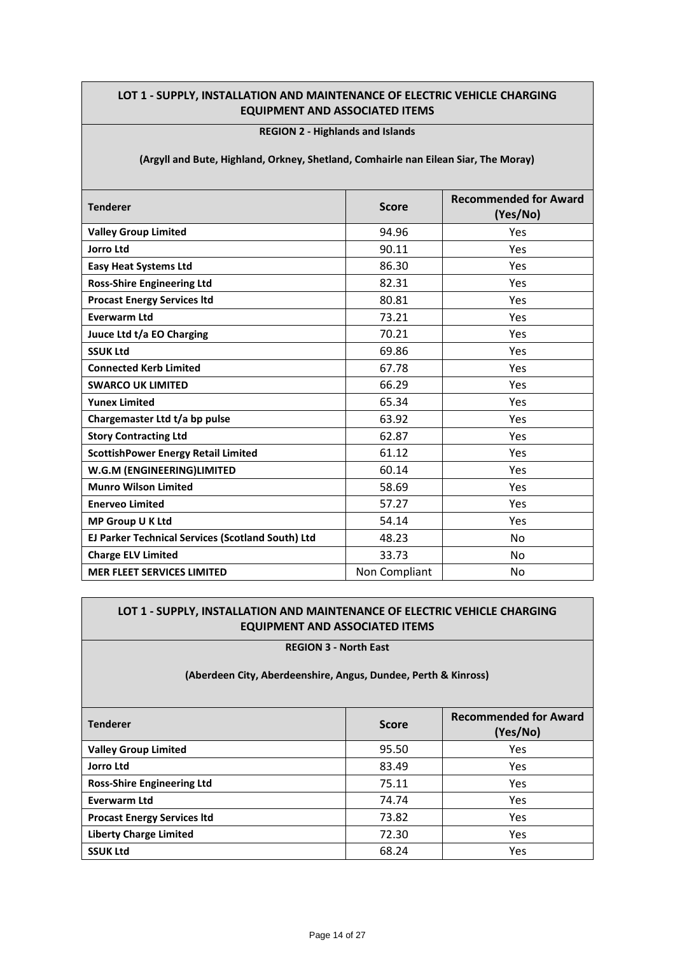#### **REGION 2 - Highlands and Islands**

**(Argyll and Bute, Highland, Orkney, Shetland, Comhairle nan Eilean Siar, The Moray)**

| <b>Tenderer</b>                                   | <b>Score</b>  | <b>Recommended for Award</b><br>(Yes/No) |
|---------------------------------------------------|---------------|------------------------------------------|
| <b>Valley Group Limited</b>                       | 94.96         | Yes                                      |
| <b>Jorro Ltd</b>                                  | 90.11         | Yes                                      |
| <b>Easy Heat Systems Ltd</b>                      | 86.30         | Yes                                      |
| <b>Ross-Shire Engineering Ltd</b>                 | 82.31         | Yes                                      |
| <b>Procast Energy Services Itd</b>                | 80.81         | Yes                                      |
| <b>Everwarm Ltd</b>                               | 73.21         | Yes                                      |
| Juuce Ltd t/a EO Charging                         | 70.21         | Yes                                      |
| <b>SSUK Ltd</b>                                   | 69.86         | Yes                                      |
| <b>Connected Kerb Limited</b>                     | 67.78         | Yes                                      |
| <b>SWARCO UK LIMITED</b>                          | 66.29         | Yes                                      |
| <b>Yunex Limited</b>                              | 65.34         | Yes                                      |
| Chargemaster Ltd t/a bp pulse                     | 63.92         | Yes                                      |
| <b>Story Contracting Ltd</b>                      | 62.87         | Yes                                      |
| <b>ScottishPower Energy Retail Limited</b>        | 61.12         | Yes                                      |
| W.G.M (ENGINEERING)LIMITED                        | 60.14         | Yes                                      |
| <b>Munro Wilson Limited</b>                       | 58.69         | Yes                                      |
| <b>Enerveo Limited</b>                            | 57.27         | <b>Yes</b>                               |
| MP Group U K Ltd                                  | 54.14         | Yes                                      |
| EJ Parker Technical Services (Scotland South) Ltd | 48.23         | <b>No</b>                                |
| <b>Charge ELV Limited</b>                         | 33.73         | <b>No</b>                                |
| <b>MER FLEET SERVICES LIMITED</b>                 | Non Compliant | No                                       |

### **LOT 1 - SUPPLY, INSTALLATION AND MAINTENANCE OF ELECTRIC VEHICLE CHARGING EQUIPMENT AND ASSOCIATED ITEMS**

**REGION 3 - North East** 

#### **(Aberdeen City, Aberdeenshire, Angus, Dundee, Perth & Kinross)**

| <b>Tenderer</b>                    | <b>Score</b> | <b>Recommended for Award</b><br>(Yes/No) |
|------------------------------------|--------------|------------------------------------------|
| <b>Valley Group Limited</b>        | 95.50        | Yes                                      |
| <b>Jorro Ltd</b>                   | 83.49        | Yes                                      |
| <b>Ross-Shire Engineering Ltd</b>  | 75.11        | Yes                                      |
| <b>Everwarm Ltd</b>                | 74.74        | Yes                                      |
| <b>Procast Energy Services Itd</b> | 73.82        | Yes                                      |
| <b>Liberty Charge Limited</b>      | 72.30        | Yes                                      |
| <b>SSUK Ltd</b>                    | 68.24        | Yes                                      |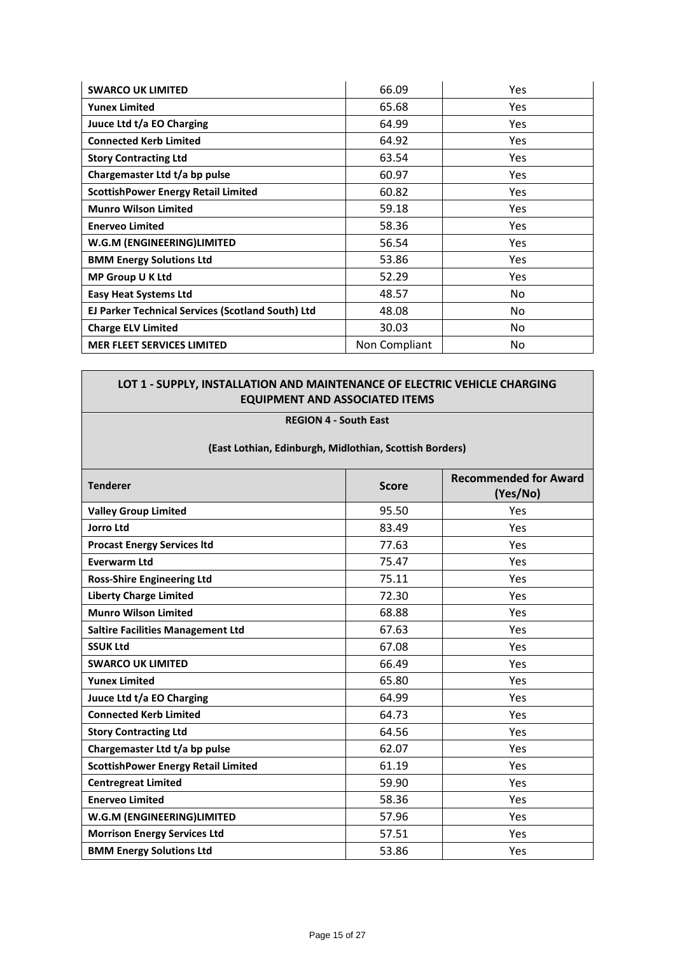| <b>SWARCO UK LIMITED</b>                          | 66.09         | Yes        |
|---------------------------------------------------|---------------|------------|
| <b>Yunex Limited</b>                              | 65.68         | Yes        |
| Juuce Ltd t/a EO Charging                         | 64.99         | Yes        |
| <b>Connected Kerb Limited</b>                     | 64.92         | Yes        |
| <b>Story Contracting Ltd</b>                      | 63.54         | <b>Yes</b> |
| Chargemaster Ltd t/a bp pulse                     | 60.97         | Yes        |
| <b>ScottishPower Energy Retail Limited</b>        | 60.82         | <b>Yes</b> |
| <b>Munro Wilson Limited</b>                       | 59.18         | Yes        |
| <b>Enerveo Limited</b>                            | 58.36         | Yes        |
| W.G.M (ENGINEERING)LIMITED                        | 56.54         | <b>Yes</b> |
| <b>BMM Energy Solutions Ltd</b>                   | 53.86         | Yes        |
| MP Group U K Ltd                                  | 52.29         | Yes        |
| <b>Easy Heat Systems Ltd</b>                      | 48.57         | No.        |
| EJ Parker Technical Services (Scotland South) Ltd | 48.08         | No         |
| <b>Charge ELV Limited</b>                         | 30.03         | No         |
| <b>MER FLEET SERVICES LIMITED</b>                 | Non Compliant | No         |

#### **REGION 4 - South East**

#### **(East Lothian, Edinburgh, Midlothian, Scottish Borders)**

| <b>Tenderer</b>                            | <b>Score</b> | <b>Recommended for Award</b><br>(Yes/No) |
|--------------------------------------------|--------------|------------------------------------------|
| <b>Valley Group Limited</b>                | 95.50        | Yes                                      |
| <b>Jorro Ltd</b>                           | 83.49        | Yes                                      |
| <b>Procast Energy Services Itd</b>         | 77.63        | Yes                                      |
| <b>Everwarm Ltd</b>                        | 75.47        | <b>Yes</b>                               |
| <b>Ross-Shire Engineering Ltd</b>          | 75.11        | Yes                                      |
| <b>Liberty Charge Limited</b>              | 72.30        | Yes                                      |
| <b>Munro Wilson Limited</b>                | 68.88        | Yes                                      |
| <b>Saltire Facilities Management Ltd</b>   | 67.63        | Yes                                      |
| <b>SSUK Ltd</b>                            | 67.08        | <b>Yes</b>                               |
| <b>SWARCO UK LIMITED</b>                   | 66.49        | Yes                                      |
| <b>Yunex Limited</b>                       | 65.80        | Yes                                      |
| Juuce Ltd t/a EO Charging                  | 64.99        | Yes                                      |
| <b>Connected Kerb Limited</b>              | 64.73        | Yes                                      |
| <b>Story Contracting Ltd</b>               | 64.56        | Yes                                      |
| Chargemaster Ltd t/a bp pulse              | 62.07        | Yes                                      |
| <b>ScottishPower Energy Retail Limited</b> | 61.19        | Yes                                      |
| <b>Centregreat Limited</b>                 | 59.90        | Yes                                      |
| <b>Enerveo Limited</b>                     | 58.36        | Yes                                      |
| W.G.M (ENGINEERING)LIMITED                 | 57.96        | Yes                                      |
| <b>Morrison Energy Services Ltd</b>        | 57.51        | Yes                                      |
| <b>BMM Energy Solutions Ltd</b>            | 53.86        | Yes                                      |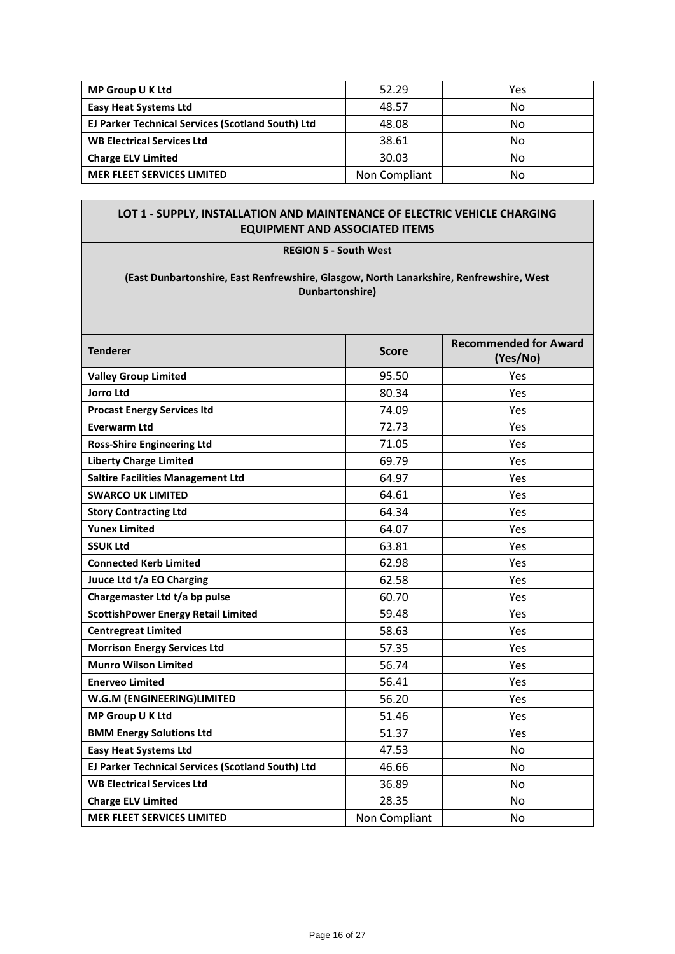| MP Group U K Ltd                                  | 52.29         | Yes |
|---------------------------------------------------|---------------|-----|
| <b>Easy Heat Systems Ltd</b>                      | 48.57         | No  |
| EJ Parker Technical Services (Scotland South) Ltd | 48.08         | No  |
| <b>WB Electrical Services Ltd</b>                 | 38.61         | No  |
| <b>Charge ELV Limited</b>                         | 30.03         | No  |
| <b>MER FLEET SERVICES LIMITED</b>                 | Non Compliant | No  |

#### **REGION 5 - South West**

#### **(East Dunbartonshire, East Renfrewshire, Glasgow, North Lanarkshire, Renfrewshire, West Dunbartonshire)**

| <b>Tenderer</b>                                   | <b>Score</b>  | <b>Recommended for Award</b><br>(Yes/No) |
|---------------------------------------------------|---------------|------------------------------------------|
| <b>Valley Group Limited</b>                       | 95.50         | Yes                                      |
| <b>Jorro Ltd</b>                                  | 80.34         | Yes                                      |
| <b>Procast Energy Services Itd</b>                | 74.09         | Yes                                      |
| <b>Everwarm Ltd</b>                               | 72.73         | Yes                                      |
| <b>Ross-Shire Engineering Ltd</b>                 | 71.05         | Yes                                      |
| <b>Liberty Charge Limited</b>                     | 69.79         | Yes                                      |
| <b>Saltire Facilities Management Ltd</b>          | 64.97         | Yes                                      |
| <b>SWARCO UK LIMITED</b>                          | 64.61         | Yes                                      |
| <b>Story Contracting Ltd</b>                      | 64.34         | Yes                                      |
| <b>Yunex Limited</b>                              | 64.07         | Yes                                      |
| <b>SSUK Ltd</b>                                   | 63.81         | Yes                                      |
| <b>Connected Kerb Limited</b>                     | 62.98         | Yes                                      |
| Juuce Ltd t/a EO Charging                         | 62.58         | Yes                                      |
| Chargemaster Ltd t/a bp pulse                     | 60.70         | Yes                                      |
| <b>ScottishPower Energy Retail Limited</b>        | 59.48         | Yes                                      |
| <b>Centregreat Limited</b>                        | 58.63         | Yes                                      |
| <b>Morrison Energy Services Ltd</b>               | 57.35         | Yes                                      |
| <b>Munro Wilson Limited</b>                       | 56.74         | Yes                                      |
| <b>Enerveo Limited</b>                            | 56.41         | Yes                                      |
| W.G.M (ENGINEERING)LIMITED                        | 56.20         | Yes                                      |
| MP Group U K Ltd                                  | 51.46         | Yes                                      |
| <b>BMM Energy Solutions Ltd</b>                   | 51.37         | Yes                                      |
| <b>Easy Heat Systems Ltd</b>                      | 47.53         | N <sub>o</sub>                           |
| EJ Parker Technical Services (Scotland South) Ltd | 46.66         | N <sub>o</sub>                           |
| <b>WB Electrical Services Ltd</b>                 | 36.89         | No                                       |
| <b>Charge ELV Limited</b>                         | 28.35         | <b>No</b>                                |
| <b>MER FLEET SERVICES LIMITED</b>                 | Non Compliant | No                                       |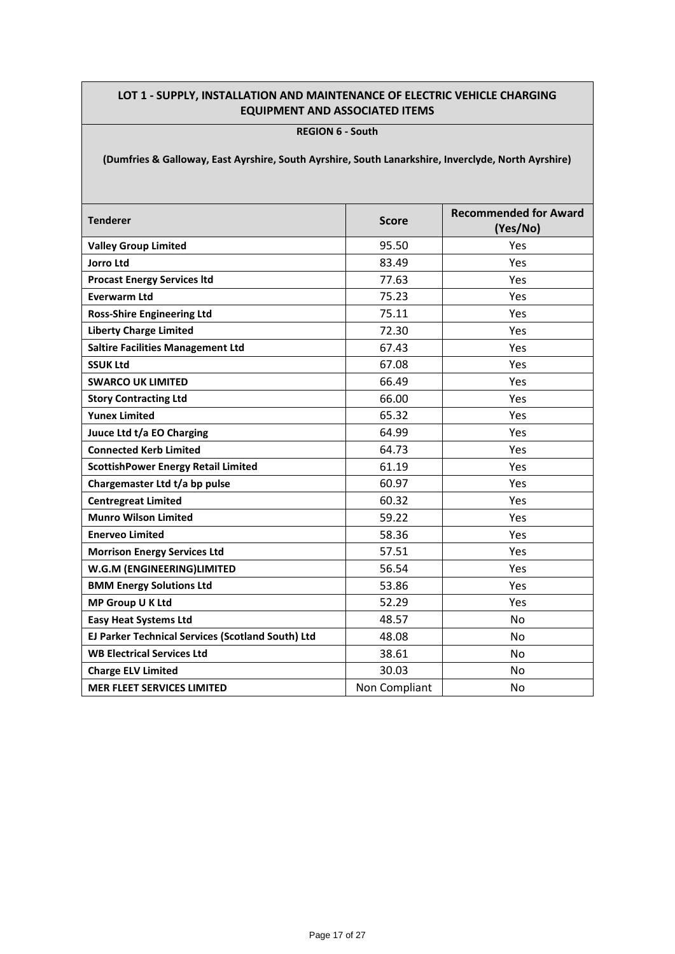#### **REGION 6 - South**

**(Dumfries & Galloway, East Ayrshire, South Ayrshire, South Lanarkshire, Inverclyde, North Ayrshire)**

| <b>Tenderer</b>                                   | <b>Score</b>  | <b>Recommended for Award</b><br>(Yes/No) |
|---------------------------------------------------|---------------|------------------------------------------|
| <b>Valley Group Limited</b>                       | 95.50         | Yes                                      |
| <b>Jorro Ltd</b>                                  | 83.49         | Yes                                      |
| <b>Procast Energy Services Itd</b>                | 77.63         | Yes                                      |
| <b>Everwarm Ltd</b>                               | 75.23         | Yes                                      |
| <b>Ross-Shire Engineering Ltd</b>                 | 75.11         | Yes                                      |
| <b>Liberty Charge Limited</b>                     | 72.30         | Yes                                      |
| <b>Saltire Facilities Management Ltd</b>          | 67.43         | Yes                                      |
| <b>SSUK Ltd</b>                                   | 67.08         | Yes                                      |
| <b>SWARCO UK LIMITED</b>                          | 66.49         | Yes                                      |
| <b>Story Contracting Ltd</b>                      | 66.00         | Yes                                      |
| <b>Yunex Limited</b>                              | 65.32         | Yes                                      |
| Juuce Ltd t/a EO Charging                         | 64.99         | Yes                                      |
| <b>Connected Kerb Limited</b>                     | 64.73         | Yes                                      |
| <b>ScottishPower Energy Retail Limited</b>        | 61.19         | Yes                                      |
| Chargemaster Ltd t/a bp pulse                     | 60.97         | Yes                                      |
| <b>Centregreat Limited</b>                        | 60.32         | Yes                                      |
| <b>Munro Wilson Limited</b>                       | 59.22         | Yes                                      |
| <b>Enerveo Limited</b>                            | 58.36         | Yes                                      |
| <b>Morrison Energy Services Ltd</b>               | 57.51         | Yes                                      |
| W.G.M (ENGINEERING)LIMITED                        | 56.54         | Yes                                      |
| <b>BMM Energy Solutions Ltd</b>                   | 53.86         | Yes                                      |
| MP Group U K Ltd                                  | 52.29         | Yes                                      |
| <b>Easy Heat Systems Ltd</b>                      | 48.57         | <b>No</b>                                |
| EJ Parker Technical Services (Scotland South) Ltd | 48.08         | <b>No</b>                                |
| <b>WB Electrical Services Ltd</b>                 | 38.61         | No                                       |
| <b>Charge ELV Limited</b>                         | 30.03         | <b>No</b>                                |
| <b>MER FLEET SERVICES LIMITED</b>                 | Non Compliant | No                                       |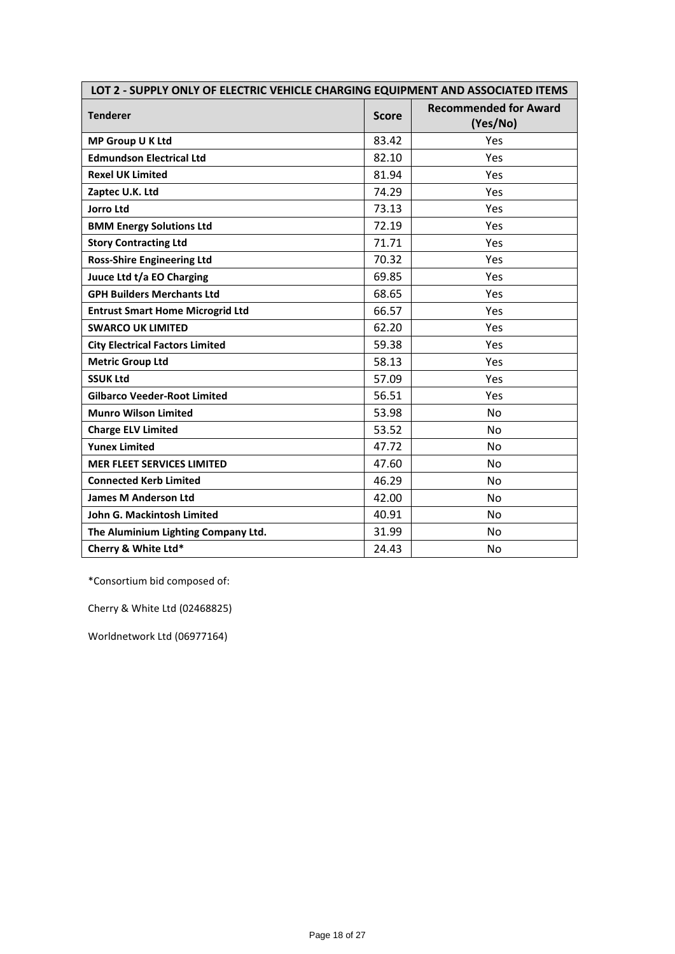| LOT 2 - SUPPLY ONLY OF ELECTRIC VEHICLE CHARGING EQUIPMENT AND ASSOCIATED ITEMS |              |                                          |
|---------------------------------------------------------------------------------|--------------|------------------------------------------|
| <b>Tenderer</b>                                                                 | <b>Score</b> | <b>Recommended for Award</b><br>(Yes/No) |
| MP Group U K Ltd                                                                | 83.42        | Yes                                      |
| <b>Edmundson Electrical Ltd</b>                                                 | 82.10        | Yes                                      |
| <b>Rexel UK Limited</b>                                                         | 81.94        | Yes                                      |
| Zaptec U.K. Ltd                                                                 | 74.29        | Yes                                      |
| <b>Jorro Ltd</b>                                                                | 73.13        | Yes                                      |
| <b>BMM Energy Solutions Ltd</b>                                                 | 72.19        | Yes                                      |
| <b>Story Contracting Ltd</b>                                                    | 71.71        | Yes                                      |
| <b>Ross-Shire Engineering Ltd</b>                                               | 70.32        | Yes                                      |
| Juuce Ltd t/a EO Charging                                                       | 69.85        | Yes                                      |
| <b>GPH Builders Merchants Ltd</b>                                               | 68.65        | Yes                                      |
| <b>Entrust Smart Home Microgrid Ltd</b>                                         | 66.57        | Yes                                      |
| <b>SWARCO UK LIMITED</b>                                                        | 62.20        | Yes                                      |
| <b>City Electrical Factors Limited</b>                                          | 59.38        | Yes                                      |
| <b>Metric Group Ltd</b>                                                         | 58.13        | Yes                                      |
| <b>SSUK Ltd</b>                                                                 | 57.09        | Yes                                      |
| <b>Gilbarco Veeder-Root Limited</b>                                             | 56.51        | Yes                                      |
| <b>Munro Wilson Limited</b>                                                     | 53.98        | <b>No</b>                                |
| <b>Charge ELV Limited</b>                                                       | 53.52        | <b>No</b>                                |
| <b>Yunex Limited</b>                                                            | 47.72        | <b>No</b>                                |
| <b>MER FLEET SERVICES LIMITED</b>                                               | 47.60        | No                                       |
| <b>Connected Kerb Limited</b>                                                   | 46.29        | <b>No</b>                                |
| <b>James M Anderson Ltd</b>                                                     | 42.00        | <b>No</b>                                |
| John G. Mackintosh Limited                                                      | 40.91        | No                                       |
| The Aluminium Lighting Company Ltd.                                             | 31.99        | <b>No</b>                                |
| Cherry & White Ltd*                                                             | 24.43        | No                                       |

Cherry & White Ltd (02468825)

Worldnetwork Ltd (06977164)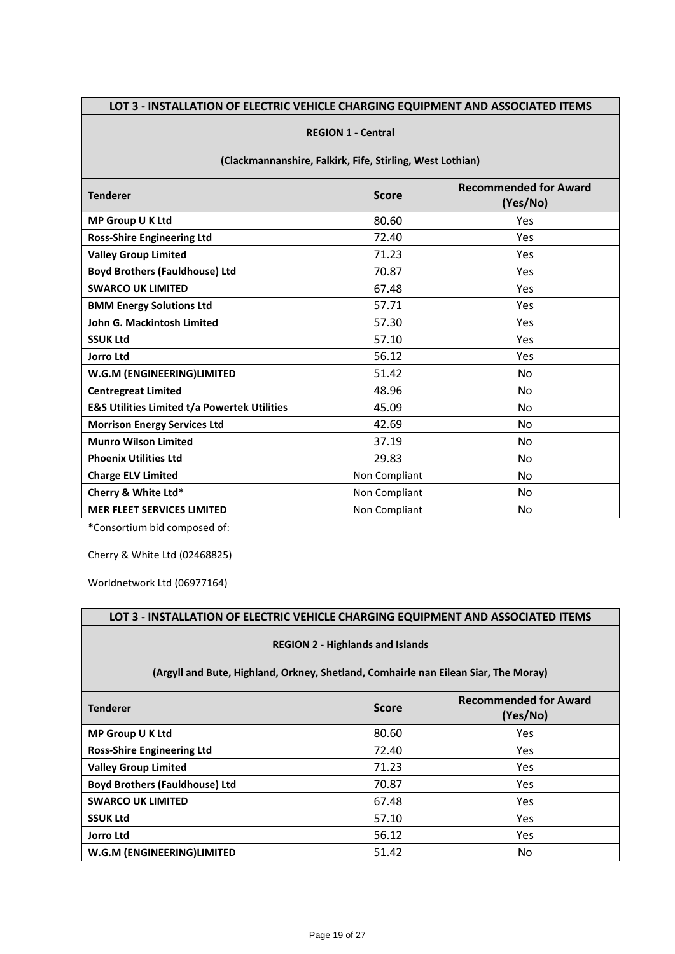### **LOT 3 - INSTALLATION OF ELECTRIC VEHICLE CHARGING EQUIPMENT AND ASSOCIATED ITEMS**

#### **REGION 1 - Central**

#### **(Clackmannanshire, Falkirk, Fife, Stirling, West Lothian)**

| <b>Tenderer</b>                                         | <b>Score</b>  | <b>Recommended for Award</b><br>(Yes/No) |
|---------------------------------------------------------|---------------|------------------------------------------|
| MP Group U K Ltd                                        | 80.60         | Yes                                      |
| <b>Ross-Shire Engineering Ltd</b>                       | 72.40         | Yes                                      |
| <b>Valley Group Limited</b>                             | 71.23         | Yes                                      |
| <b>Boyd Brothers (Fauldhouse) Ltd</b>                   | 70.87         | Yes                                      |
| <b>SWARCO UK LIMITED</b>                                | 67.48         | Yes                                      |
| <b>BMM Energy Solutions Ltd</b>                         | 57.71         | Yes                                      |
| John G. Mackintosh Limited                              | 57.30         | Yes                                      |
| <b>SSUK Ltd</b>                                         | 57.10         | Yes                                      |
| <b>Jorro Ltd</b>                                        | 56.12         | Yes                                      |
| W.G.M (ENGINEERING)LIMITED                              | 51.42         | No                                       |
| <b>Centregreat Limited</b>                              | 48.96         | No                                       |
| <b>E&amp;S Utilities Limited t/a Powertek Utilities</b> | 45.09         | No                                       |
| <b>Morrison Energy Services Ltd</b>                     | 42.69         | No                                       |
| <b>Munro Wilson Limited</b>                             | 37.19         | No                                       |
| <b>Phoenix Utilities Ltd</b>                            | 29.83         | No                                       |
| <b>Charge ELV Limited</b>                               | Non Compliant | No                                       |
| Cherry & White Ltd*                                     | Non Compliant | No                                       |
| <b>MER FLEET SERVICES LIMITED</b>                       | Non Compliant | No                                       |

\*Consortium bid composed of:

Cherry & White Ltd (02468825)

Worldnetwork Ltd (06977164)

#### **LOT 3 - INSTALLATION OF ELECTRIC VEHICLE CHARGING EQUIPMENT AND ASSOCIATED ITEMS**

**REGION 2 - Highlands and Islands** 

**(Argyll and Bute, Highland, Orkney, Shetland, Comhairle nan Eilean Siar, The Moray)**

| <b>Tenderer</b>                       | <b>Score</b> | <b>Recommended for Award</b><br>(Yes/No) |
|---------------------------------------|--------------|------------------------------------------|
| <b>MP Group U K Ltd</b>               | 80.60        | <b>Yes</b>                               |
| <b>Ross-Shire Engineering Ltd</b>     | 72.40        | Yes                                      |
| <b>Valley Group Limited</b>           | 71.23        | Yes                                      |
| <b>Boyd Brothers (Fauldhouse) Ltd</b> | 70.87        | <b>Yes</b>                               |
| <b>SWARCO UK LIMITED</b>              | 67.48        | Yes                                      |
| <b>SSUK Ltd</b>                       | 57.10        | Yes                                      |
| <b>Jorro Ltd</b>                      | 56.12        | <b>Yes</b>                               |
| W.G.M (ENGINEERING)LIMITED            | 51.42        | No                                       |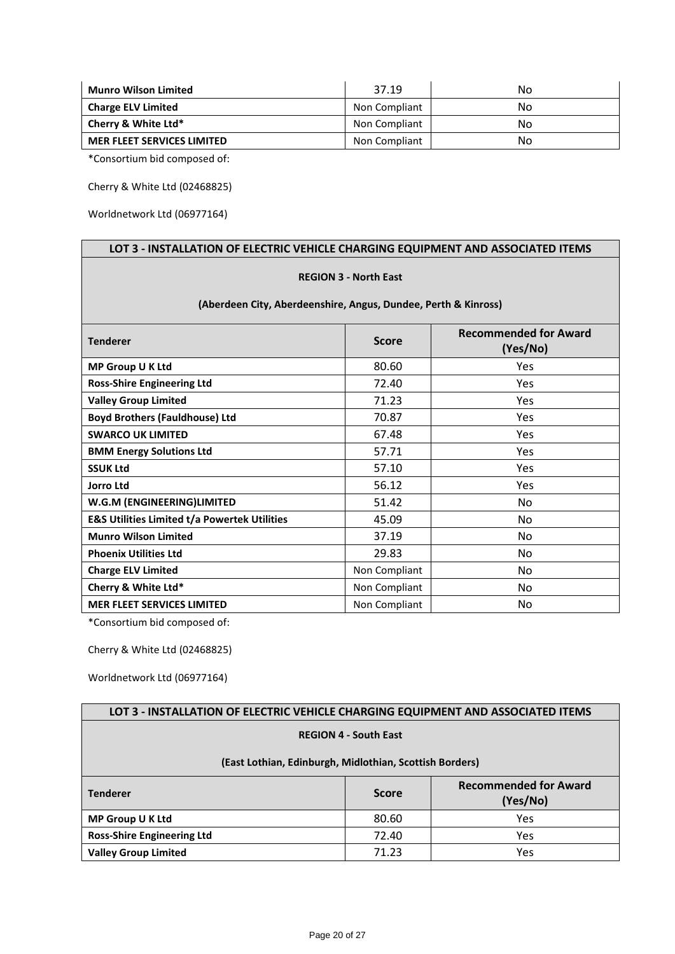| <b>Munro Wilson Limited</b>       | 37.19         | No |
|-----------------------------------|---------------|----|
| <b>Charge ELV Limited</b>         | Non Compliant | No |
| Cherry & White Ltd*               | Non Compliant | No |
| <b>MER FLEET SERVICES LIMITED</b> | Non Compliant | No |

Cherry & White Ltd (02468825)

Worldnetwork Ltd (06977164)

#### **LOT 3 - INSTALLATION OF ELECTRIC VEHICLE CHARGING EQUIPMENT AND ASSOCIATED ITEMS**

#### **REGION 3 - North East**

#### **(Aberdeen City, Aberdeenshire, Angus, Dundee, Perth & Kinross)**

| <b>Tenderer</b>                                         | <b>Score</b>  | <b>Recommended for Award</b><br>(Yes/No) |
|---------------------------------------------------------|---------------|------------------------------------------|
| <b>MP Group U K Ltd</b>                                 | 80.60         | Yes                                      |
| <b>Ross-Shire Engineering Ltd</b>                       | 72.40         | <b>Yes</b>                               |
| <b>Valley Group Limited</b>                             | 71.23         | <b>Yes</b>                               |
| <b>Boyd Brothers (Fauldhouse) Ltd</b>                   | 70.87         | Yes                                      |
| <b>SWARCO UK LIMITED</b>                                | 67.48         | <b>Yes</b>                               |
| <b>BMM Energy Solutions Ltd</b>                         | 57.71         | Yes                                      |
| <b>SSUK Ltd</b>                                         | 57.10         | Yes                                      |
| <b>Jorro Ltd</b>                                        | 56.12         | <b>Yes</b>                               |
| W.G.M (ENGINEERING)LIMITED                              | 51.42         | No                                       |
| <b>E&amp;S Utilities Limited t/a Powertek Utilities</b> | 45.09         | No                                       |
| <b>Munro Wilson Limited</b>                             | 37.19         | No.                                      |
| <b>Phoenix Utilities Ltd</b>                            | 29.83         | No.                                      |
| <b>Charge ELV Limited</b>                               | Non Compliant | No                                       |
| Cherry & White Ltd*                                     | Non Compliant | No                                       |
| <b>MER FLEET SERVICES LIMITED</b>                       | Non Compliant | No.                                      |

\*Consortium bid composed of:

Cherry & White Ltd (02468825)

Worldnetwork Ltd (06977164)

| LOT 3 - INSTALLATION OF ELECTRIC VEHICLE CHARGING EQUIPMENT AND ASSOCIATED ITEMS |  |
|----------------------------------------------------------------------------------|--|
|                                                                                  |  |

#### **REGION 4 - South East**

#### **(East Lothian, Edinburgh, Midlothian, Scottish Borders)**

| <b>Tenderer</b>                   | <b>Score</b> | <b>Recommended for Award</b><br>(Yes/No) |
|-----------------------------------|--------------|------------------------------------------|
| MP Group U K Ltd                  | 80.60        | Yes                                      |
| <b>Ross-Shire Engineering Ltd</b> | 72.40        | Yes                                      |
| <b>Valley Group Limited</b>       | 71.23        | Yes                                      |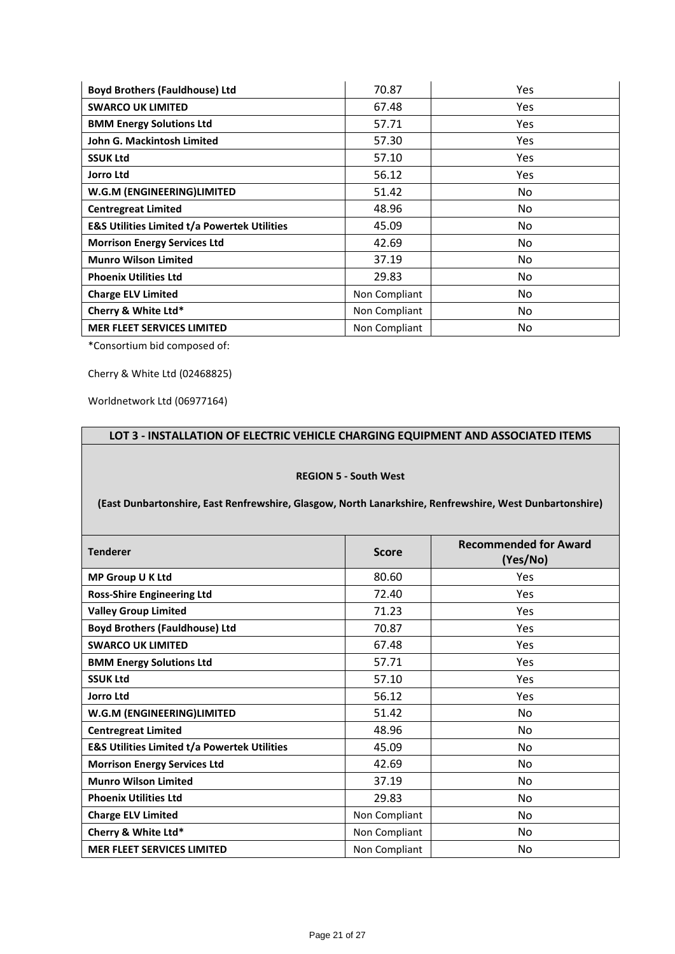| <b>Boyd Brothers (Fauldhouse) Ltd</b>                   | 70.87         | Yes |
|---------------------------------------------------------|---------------|-----|
| <b>SWARCO UK LIMITED</b>                                | 67.48         | Yes |
| <b>BMM Energy Solutions Ltd</b>                         | 57.71         | Yes |
| John G. Mackintosh Limited                              | 57.30         | Yes |
| <b>SSUK Ltd</b>                                         | 57.10         | Yes |
| <b>Jorro Ltd</b>                                        | 56.12         | Yes |
| W.G.M (ENGINEERING)LIMITED                              | 51.42         | No  |
| <b>Centregreat Limited</b>                              | 48.96         | No  |
| <b>E&amp;S Utilities Limited t/a Powertek Utilities</b> | 45.09         | No  |
| <b>Morrison Energy Services Ltd</b>                     | 42.69         | No  |
| <b>Munro Wilson Limited</b>                             | 37.19         | No  |
| <b>Phoenix Utilities Ltd</b>                            | 29.83         | No  |
| <b>Charge ELV Limited</b>                               | Non Compliant | No. |
| Cherry & White Ltd*                                     | Non Compliant | No  |
| <b>MER FLEET SERVICES LIMITED</b>                       | Non Compliant | No. |

Cherry & White Ltd (02468825)

Worldnetwork Ltd (06977164)

### **LOT 3 - INSTALLATION OF ELECTRIC VEHICLE CHARGING EQUIPMENT AND ASSOCIATED ITEMS**

#### **REGION 5 - South West**

**(East Dunbartonshire, East Renfrewshire, Glasgow, North Lanarkshire, Renfrewshire, West Dunbartonshire)**

| <b>Tenderer</b>                                         | <b>Score</b>  | <b>Recommended for Award</b><br>(Yes/No) |
|---------------------------------------------------------|---------------|------------------------------------------|
| MP Group U K Ltd                                        | 80.60         | Yes                                      |
| <b>Ross-Shire Engineering Ltd</b>                       | 72.40         | Yes                                      |
| <b>Valley Group Limited</b>                             | 71.23         | Yes                                      |
| <b>Boyd Brothers (Fauldhouse) Ltd</b>                   | 70.87         | Yes                                      |
| <b>SWARCO UK LIMITED</b>                                | 67.48         | Yes                                      |
| <b>BMM Energy Solutions Ltd</b>                         | 57.71         | Yes                                      |
| <b>SSUK Ltd</b>                                         | 57.10         | Yes                                      |
| <b>Jorro Ltd</b>                                        | 56.12         | Yes                                      |
| W.G.M (ENGINEERING)LIMITED                              | 51.42         | No.                                      |
| <b>Centregreat Limited</b>                              | 48.96         | No.                                      |
| <b>E&amp;S Utilities Limited t/a Powertek Utilities</b> | 45.09         | No.                                      |
| <b>Morrison Energy Services Ltd</b>                     | 42.69         | No.                                      |
| <b>Munro Wilson Limited</b>                             | 37.19         | No.                                      |
| <b>Phoenix Utilities Ltd</b>                            | 29.83         | No.                                      |
| <b>Charge ELV Limited</b>                               | Non Compliant | No.                                      |
| Cherry & White Ltd*                                     | Non Compliant | No.                                      |
| <b>MER FLEET SERVICES LIMITED</b>                       | Non Compliant | No.                                      |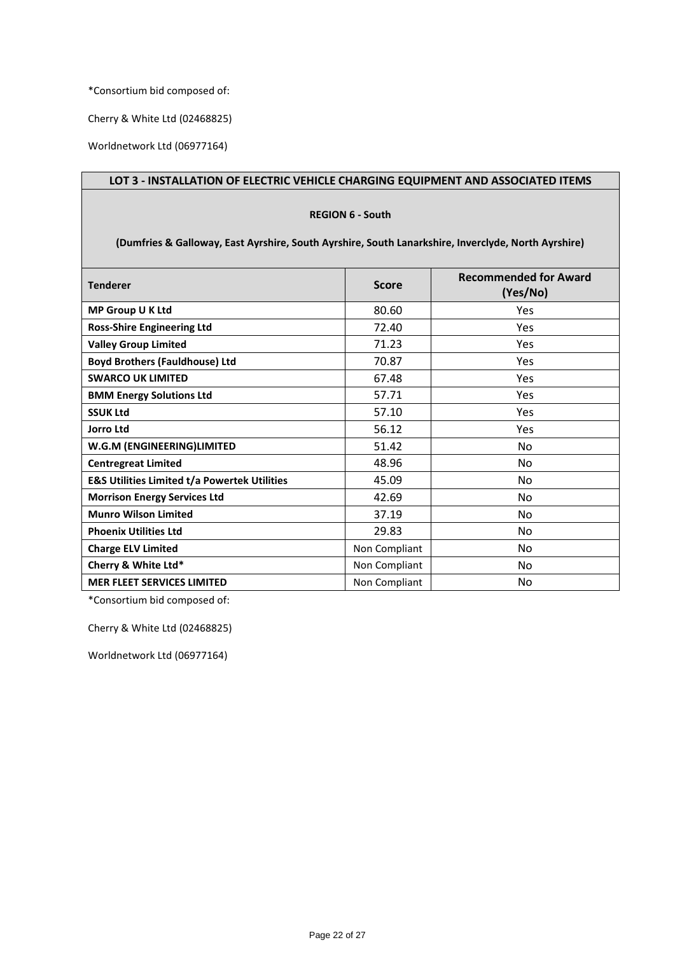Cherry & White Ltd (02468825)

Worldnetwork Ltd (06977164)

#### **LOT 3 - INSTALLATION OF ELECTRIC VEHICLE CHARGING EQUIPMENT AND ASSOCIATED ITEMS**

#### **REGION 6 - South**

**(Dumfries & Galloway, East Ayrshire, South Ayrshire, South Lanarkshire, Inverclyde, North Ayrshire)**

| <b>Tenderer</b>                                         | <b>Score</b>  | <b>Recommended for Award</b><br>(Yes/No) |
|---------------------------------------------------------|---------------|------------------------------------------|
| <b>MP Group U K Ltd</b>                                 | 80.60         | Yes                                      |
| <b>Ross-Shire Engineering Ltd</b>                       | 72.40         | <b>Yes</b>                               |
| <b>Valley Group Limited</b>                             | 71.23         | <b>Yes</b>                               |
| <b>Boyd Brothers (Fauldhouse) Ltd</b>                   | 70.87         | <b>Yes</b>                               |
| <b>SWARCO UK LIMITED</b>                                | 67.48         | <b>Yes</b>                               |
| <b>BMM Energy Solutions Ltd</b>                         | 57.71         | <b>Yes</b>                               |
| <b>SSUK Ltd</b>                                         | 57.10         | Yes                                      |
| <b>Jorro Ltd</b>                                        | 56.12         | Yes                                      |
| W.G.M (ENGINEERING)LIMITED                              | 51.42         | No                                       |
| <b>Centregreat Limited</b>                              | 48.96         | No                                       |
| <b>E&amp;S Utilities Limited t/a Powertek Utilities</b> | 45.09         | No.                                      |
| <b>Morrison Energy Services Ltd</b>                     | 42.69         | No.                                      |
| <b>Munro Wilson Limited</b>                             | 37.19         | No.                                      |
| <b>Phoenix Utilities Ltd</b>                            | 29.83         | No.                                      |
| <b>Charge ELV Limited</b>                               | Non Compliant | No                                       |
| Cherry & White Ltd*                                     | Non Compliant | No.                                      |
| <b>MER FLEET SERVICES LIMITED</b>                       | Non Compliant | No                                       |

\*Consortium bid composed of:

Cherry & White Ltd (02468825)

Worldnetwork Ltd (06977164)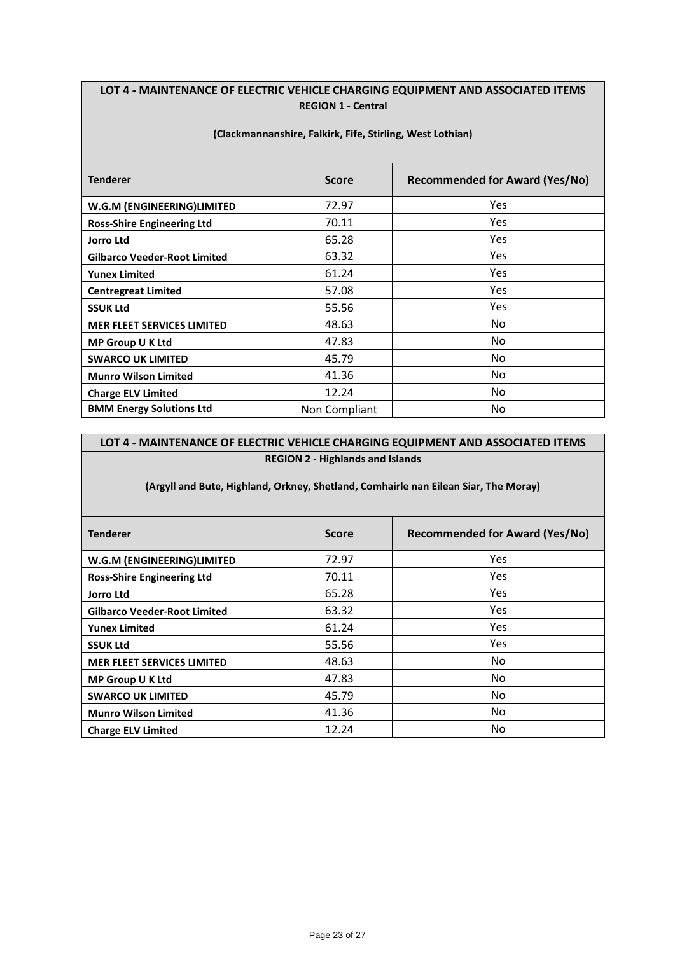#### **LOT 4 - MAINTENANCE OF ELECTRIC VEHICLE CHARGING EQUIPMENT AND ASSOCIATED ITEMS REGION 1 - Central**

| <b>Tenderer</b>                     | <b>Score</b>  | <b>Recommended for Award (Yes/No)</b> |  |  |
|-------------------------------------|---------------|---------------------------------------|--|--|
| W.G.M (ENGINEERING)LIMITED          | 72.97         | Yes                                   |  |  |
| <b>Ross-Shire Engineering Ltd</b>   | 70.11         | Yes                                   |  |  |
| <b>Jorro Ltd</b>                    | 65.28         | Yes                                   |  |  |
| <b>Gilbarco Veeder-Root Limited</b> | 63.32         | Yes                                   |  |  |
| <b>Yunex Limited</b>                | 61.24         | Yes                                   |  |  |
| <b>Centregreat Limited</b>          | 57.08         | <b>Yes</b>                            |  |  |
| <b>SSUK Ltd</b>                     | 55.56         | Yes                                   |  |  |
| <b>MER FLEET SERVICES LIMITED</b>   | 48.63         | No.                                   |  |  |
| MP Group U K Ltd                    | 47.83         | No.                                   |  |  |
| <b>SWARCO UK LIMITED</b>            | 45.79         | No.                                   |  |  |
| <b>Munro Wilson Limited</b>         | 41.36         | No.                                   |  |  |
| <b>Charge ELV Limited</b>           | 12.24         | No.                                   |  |  |
| <b>BMM Energy Solutions Ltd</b>     | Non Compliant | No.                                   |  |  |

#### **(Clackmannanshire, Falkirk, Fife, Stirling, West Lothian)**

### **LOT 4 - MAINTENANCE OF ELECTRIC VEHICLE CHARGING EQUIPMENT AND ASSOCIATED ITEMS REGION 2 - Highlands and Islands**

**(Argyll and Bute, Highland, Orkney, Shetland, Comhairle nan Eilean Siar, The Moray)**

| <b>Tenderer</b>                     | <b>Score</b> | <b>Recommended for Award (Yes/No)</b> |  |  |
|-------------------------------------|--------------|---------------------------------------|--|--|
| W.G.M (ENGINEERING)LIMITED          | 72.97        | Yes                                   |  |  |
| <b>Ross-Shire Engineering Ltd</b>   | 70.11        | Yes                                   |  |  |
| <b>Jorro Ltd</b>                    | 65.28        | <b>Yes</b>                            |  |  |
| <b>Gilbarco Veeder-Root Limited</b> | 63.32        | <b>Yes</b>                            |  |  |
| <b>Yunex Limited</b>                | 61.24        | Yes                                   |  |  |
| <b>SSUK Ltd</b>                     | 55.56        | Yes                                   |  |  |
| <b>MER FLEET SERVICES LIMITED</b>   | 48.63        | No.                                   |  |  |
| <b>MP Group U K Ltd</b>             | 47.83        | No.                                   |  |  |
| <b>SWARCO UK LIMITED</b>            | 45.79        | No.                                   |  |  |
| <b>Munro Wilson Limited</b>         | 41.36        | No.                                   |  |  |
| <b>Charge ELV Limited</b>           | 12.24        | No.                                   |  |  |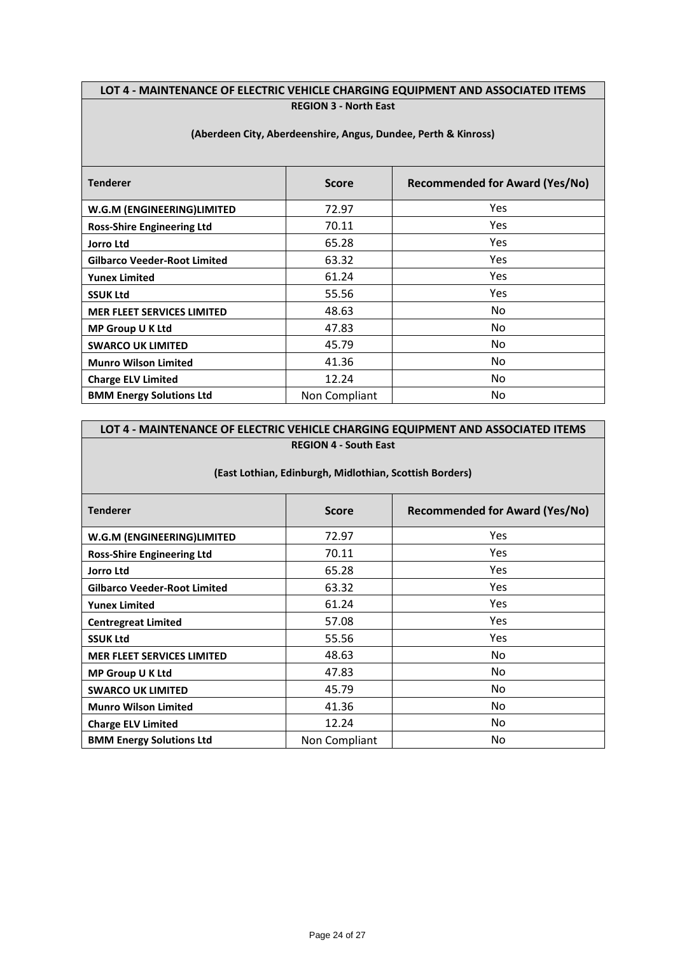#### **LOT 4 - MAINTENANCE OF ELECTRIC VEHICLE CHARGING EQUIPMENT AND ASSOCIATED ITEMS REGION 3 - North East**

| <b>Tenderer</b>                     | <b>Score</b>  | <b>Recommended for Award (Yes/No)</b> |  |  |
|-------------------------------------|---------------|---------------------------------------|--|--|
| W.G.M (ENGINEERING)LIMITED          | 72.97         | <b>Yes</b>                            |  |  |
| <b>Ross-Shire Engineering Ltd</b>   | 70.11         | Yes                                   |  |  |
| <b>Jorro Ltd</b>                    | 65.28         | Yes                                   |  |  |
| <b>Gilbarco Veeder-Root Limited</b> | 63.32         | Yes                                   |  |  |
| <b>Yunex Limited</b>                | 61.24         | Yes                                   |  |  |
| <b>SSUK Ltd</b>                     | 55.56         | <b>Yes</b>                            |  |  |
| <b>MER FLEET SERVICES LIMITED</b>   | 48.63         | No.                                   |  |  |
| MP Group U K Ltd                    | 47.83         | No.                                   |  |  |
| <b>SWARCO UK LIMITED</b>            | 45.79         | No                                    |  |  |
| <b>Munro Wilson Limited</b>         | 41.36         | No.                                   |  |  |
| <b>Charge ELV Limited</b>           | 12.24         | No.                                   |  |  |
| <b>BMM Energy Solutions Ltd</b>     | Non Compliant | No                                    |  |  |

#### **(Aberdeen City, Aberdeenshire, Angus, Dundee, Perth & Kinross)**

#### **LOT 4 - MAINTENANCE OF ELECTRIC VEHICLE CHARGING EQUIPMENT AND ASSOCIATED ITEMS REGION 4 - South East**

#### **(East Lothian, Edinburgh, Midlothian, Scottish Borders)**

| <b>Tenderer</b>                     | <b>Score</b>        | <b>Recommended for Award (Yes/No)</b> |  |
|-------------------------------------|---------------------|---------------------------------------|--|
| W.G.M (ENGINEERING)LIMITED          | 72.97               | Yes                                   |  |
| <b>Ross-Shire Engineering Ltd</b>   | 70.11               | <b>Yes</b>                            |  |
| <b>Jorro Ltd</b>                    | 65.28               | <b>Yes</b>                            |  |
| <b>Gilbarco Veeder-Root Limited</b> | 63.32               | <b>Yes</b>                            |  |
| <b>Yunex Limited</b>                | 61.24               | Yes                                   |  |
| <b>Centregreat Limited</b>          | 57.08               | <b>Yes</b>                            |  |
| <b>SSUK Ltd</b>                     | 55.56               | Yes                                   |  |
| <b>MER FLEET SERVICES LIMITED</b>   | 48.63               | No.                                   |  |
| <b>MP Group U K Ltd</b>             | 47.83               | No.                                   |  |
| <b>SWARCO UK LIMITED</b>            | 45.79               | No.                                   |  |
| <b>Munro Wilson Limited</b>         | 41.36               | No.                                   |  |
| <b>Charge ELV Limited</b>           | No.<br>12.24        |                                       |  |
| <b>BMM Energy Solutions Ltd</b>     | No<br>Non Compliant |                                       |  |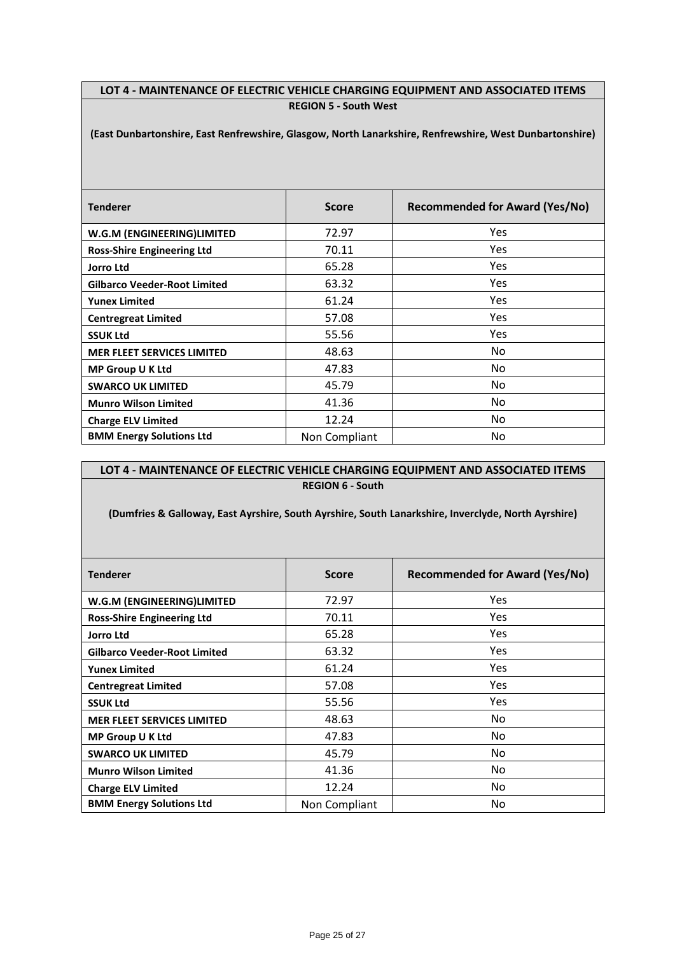#### **LOT 4 - MAINTENANCE OF ELECTRIC VEHICLE CHARGING EQUIPMENT AND ASSOCIATED ITEMS REGION 5 - South West**

**(East Dunbartonshire, East Renfrewshire, Glasgow, North Lanarkshire, Renfrewshire, West Dunbartonshire)**

| <b>Tenderer</b>                     | <b>Score</b>  | <b>Recommended for Award (Yes/No)</b> |  |  |
|-------------------------------------|---------------|---------------------------------------|--|--|
| W.G.M (ENGINEERING)LIMITED          | 72.97         | Yes                                   |  |  |
| <b>Ross-Shire Engineering Ltd</b>   | 70.11         | Yes                                   |  |  |
| <b>Jorro Ltd</b>                    | 65.28         | Yes                                   |  |  |
| <b>Gilbarco Veeder-Root Limited</b> | 63.32         | Yes                                   |  |  |
| <b>Yunex Limited</b>                | 61.24         | Yes                                   |  |  |
| <b>Centregreat Limited</b>          | 57.08         | Yes                                   |  |  |
| <b>SSUK Ltd</b>                     | 55.56         | Yes                                   |  |  |
| <b>MER FLEET SERVICES LIMITED</b>   | 48.63         | No.                                   |  |  |
| MP Group U K Ltd                    | 47.83         | No.                                   |  |  |
| <b>SWARCO UK LIMITED</b>            | 45.79         | No.                                   |  |  |
| <b>Munro Wilson Limited</b>         | 41.36         | No.                                   |  |  |
| <b>Charge ELV Limited</b>           | 12.24         | No.                                   |  |  |
| <b>BMM Energy Solutions Ltd</b>     | Non Compliant | No                                    |  |  |

#### **LOT 4 - MAINTENANCE OF ELECTRIC VEHICLE CHARGING EQUIPMENT AND ASSOCIATED ITEMS REGION 6 - South**

**(Dumfries & Galloway, East Ayrshire, South Ayrshire, South Lanarkshire, Inverclyde, North Ayrshire)**

| <b>Tenderer</b>                     | <b>Score</b>  | <b>Recommended for Award (Yes/No)</b> |  |  |
|-------------------------------------|---------------|---------------------------------------|--|--|
| W.G.M (ENGINEERING)LIMITED          | 72.97         | <b>Yes</b>                            |  |  |
| <b>Ross-Shire Engineering Ltd</b>   | 70.11         | <b>Yes</b>                            |  |  |
| <b>Jorro Ltd</b>                    | 65.28         | <b>Yes</b>                            |  |  |
| <b>Gilbarco Veeder-Root Limited</b> | 63.32         | <b>Yes</b>                            |  |  |
| <b>Yunex Limited</b>                | 61.24         | <b>Yes</b>                            |  |  |
| <b>Centregreat Limited</b>          | 57.08         | <b>Yes</b>                            |  |  |
| <b>SSUK Ltd</b>                     | 55.56         | <b>Yes</b>                            |  |  |
| <b>MER FLEET SERVICES LIMITED</b>   | 48.63         | No                                    |  |  |
| <b>MP Group U K Ltd</b>             | 47.83         | No                                    |  |  |
| <b>SWARCO UK LIMITED</b>            | 45.79         | No                                    |  |  |
| <b>Munro Wilson Limited</b>         | 41.36         | No                                    |  |  |
| <b>Charge ELV Limited</b>           | 12.24         | No                                    |  |  |
| <b>BMM Energy Solutions Ltd</b>     | Non Compliant | No.                                   |  |  |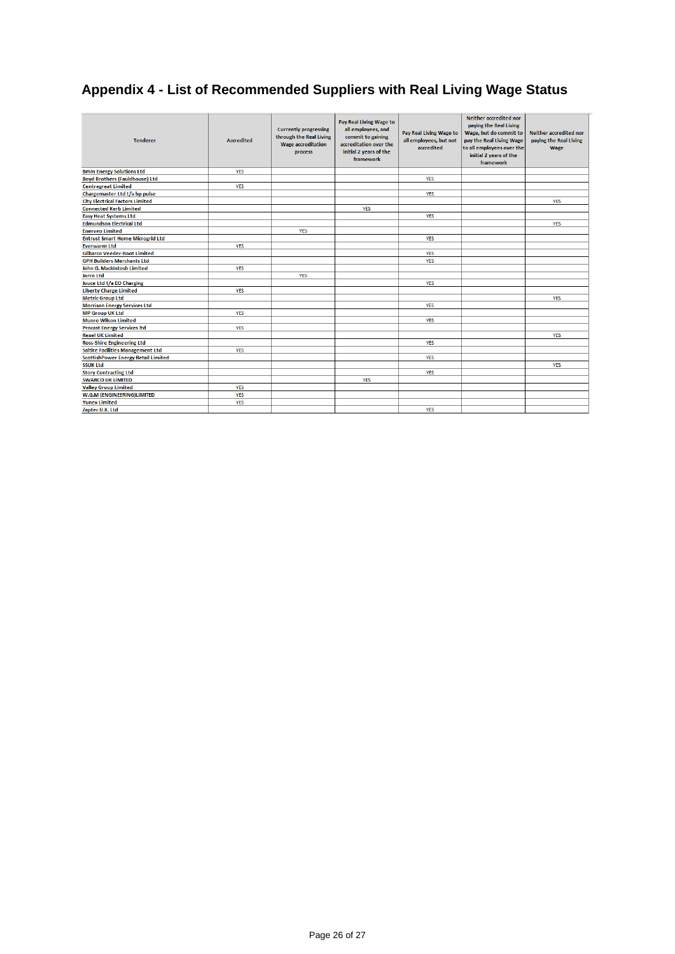# **Appendix 4 - List of Recommended Suppliers with Real Living Wage Status**

| <b>Tenderer</b>                          | Accredited | <b>Currently progressing</b><br>through the Real Living<br><b>Wage accreditation</b><br>process | Pay Real Living Wage to<br>all employees, and<br>commit to gaining<br>accreditation over the<br>initial 2 years of the<br>framework | <b>Pay Real Living Wage to</b><br>all employees, but not<br>accredited | <b>Neither accredited nor</b><br>paying the Real Living<br>Wage, but do commit to<br>pay the Real Living Wage<br>to all employees over the<br>initial 2 years of the<br>framework | <b>Neither accredited nor</b><br>paying the Real Living<br>Wage |
|------------------------------------------|------------|-------------------------------------------------------------------------------------------------|-------------------------------------------------------------------------------------------------------------------------------------|------------------------------------------------------------------------|-----------------------------------------------------------------------------------------------------------------------------------------------------------------------------------|-----------------------------------------------------------------|
| <b>Bmm Energy Solutions Ltd</b>          | <b>YES</b> |                                                                                                 |                                                                                                                                     |                                                                        |                                                                                                                                                                                   |                                                                 |
| <b>Boyd Brothers (Fauldhouse) Ltd</b>    |            |                                                                                                 |                                                                                                                                     | <b>YES</b>                                                             |                                                                                                                                                                                   |                                                                 |
| <b>Centregreat Limited</b>               | <b>YES</b> |                                                                                                 |                                                                                                                                     |                                                                        |                                                                                                                                                                                   |                                                                 |
| Chargemaster Ltd t/a bp pulse            |            |                                                                                                 |                                                                                                                                     | <b>YES</b>                                                             |                                                                                                                                                                                   |                                                                 |
| <b>City Electrical Factors Limited</b>   |            |                                                                                                 |                                                                                                                                     |                                                                        |                                                                                                                                                                                   | <b>YES</b>                                                      |
| <b>Connected Kerb Limited</b>            |            |                                                                                                 | <b>YES</b>                                                                                                                          |                                                                        |                                                                                                                                                                                   |                                                                 |
| <b>Easy Heat Systems Ltd</b>             |            |                                                                                                 |                                                                                                                                     | <b>YES</b>                                                             |                                                                                                                                                                                   |                                                                 |
| <b>Edmundson Electrical Ltd</b>          |            |                                                                                                 |                                                                                                                                     |                                                                        |                                                                                                                                                                                   | <b>YES</b>                                                      |
| <b>Enerveo Limited</b>                   |            | <b>YES</b>                                                                                      |                                                                                                                                     |                                                                        |                                                                                                                                                                                   |                                                                 |
| <b>Entrust Smart Home Microgrid Ltd</b>  |            |                                                                                                 |                                                                                                                                     | <b>YES</b>                                                             |                                                                                                                                                                                   |                                                                 |
| <b>Everwarm Ltd</b>                      | <b>YES</b> |                                                                                                 |                                                                                                                                     |                                                                        |                                                                                                                                                                                   |                                                                 |
| <b>Gilbarco Veeder-Root Limited</b>      |            |                                                                                                 |                                                                                                                                     | <b>YES</b>                                                             |                                                                                                                                                                                   |                                                                 |
| <b>GPH Builders Merchants Ltd</b>        |            |                                                                                                 |                                                                                                                                     | <b>YES</b>                                                             |                                                                                                                                                                                   |                                                                 |
| John G. Mackintosh Limited               | <b>YES</b> |                                                                                                 |                                                                                                                                     |                                                                        |                                                                                                                                                                                   |                                                                 |
| <b>Jorro Ltd</b>                         |            | <b>YES</b>                                                                                      |                                                                                                                                     |                                                                        |                                                                                                                                                                                   |                                                                 |
| Juuce Ltd t/a EO Charging                |            |                                                                                                 |                                                                                                                                     | <b>YES</b>                                                             |                                                                                                                                                                                   |                                                                 |
| <b>Liberty Charge Limited</b>            | <b>YES</b> |                                                                                                 |                                                                                                                                     |                                                                        |                                                                                                                                                                                   |                                                                 |
| <b>Metric Group Ltd</b>                  |            |                                                                                                 |                                                                                                                                     |                                                                        |                                                                                                                                                                                   | <b>YES</b>                                                      |
| <b>Morrison Energy Services Ltd</b>      |            |                                                                                                 |                                                                                                                                     | <b>YES</b>                                                             |                                                                                                                                                                                   |                                                                 |
| <b>MP Group UK Ltd</b>                   | <b>YES</b> |                                                                                                 |                                                                                                                                     |                                                                        |                                                                                                                                                                                   |                                                                 |
| <b>Munro Wilson Limited</b>              |            |                                                                                                 |                                                                                                                                     | <b>YES</b>                                                             |                                                                                                                                                                                   |                                                                 |
| <b>Procast Energy Services Itd</b>       | <b>YES</b> |                                                                                                 |                                                                                                                                     |                                                                        |                                                                                                                                                                                   |                                                                 |
| <b>Rexel UK Limited</b>                  |            |                                                                                                 |                                                                                                                                     |                                                                        |                                                                                                                                                                                   | <b>YES</b>                                                      |
| <b>Ross-Shire Engineering Ltd</b>        |            |                                                                                                 |                                                                                                                                     | <b>YES</b>                                                             |                                                                                                                                                                                   |                                                                 |
| <b>Saltire Facilities Management Ltd</b> | <b>YES</b> |                                                                                                 |                                                                                                                                     |                                                                        |                                                                                                                                                                                   |                                                                 |
| ScottishPower Energy Retail Limited      |            |                                                                                                 |                                                                                                                                     | <b>YES</b>                                                             |                                                                                                                                                                                   |                                                                 |
| <b>SSUK Ltd</b>                          |            |                                                                                                 |                                                                                                                                     |                                                                        |                                                                                                                                                                                   | <b>YES</b>                                                      |
| <b>Story Contracting Ltd</b>             |            |                                                                                                 |                                                                                                                                     | <b>YES</b>                                                             |                                                                                                                                                                                   |                                                                 |
| <b>SWARCO UK LIMITED</b>                 |            |                                                                                                 | <b>YES</b>                                                                                                                          |                                                                        |                                                                                                                                                                                   |                                                                 |
| <b>Valley Group Limited</b>              | <b>YES</b> |                                                                                                 |                                                                                                                                     |                                                                        |                                                                                                                                                                                   |                                                                 |
| <b>W.G.M (ENGINEERING)LIMITED</b>        | <b>YES</b> |                                                                                                 |                                                                                                                                     |                                                                        |                                                                                                                                                                                   |                                                                 |
| <b>Yunex Limited</b>                     | <b>YES</b> |                                                                                                 |                                                                                                                                     |                                                                        |                                                                                                                                                                                   |                                                                 |
| Zaptec U.K. Ltd                          |            |                                                                                                 |                                                                                                                                     | <b>YES</b>                                                             |                                                                                                                                                                                   |                                                                 |